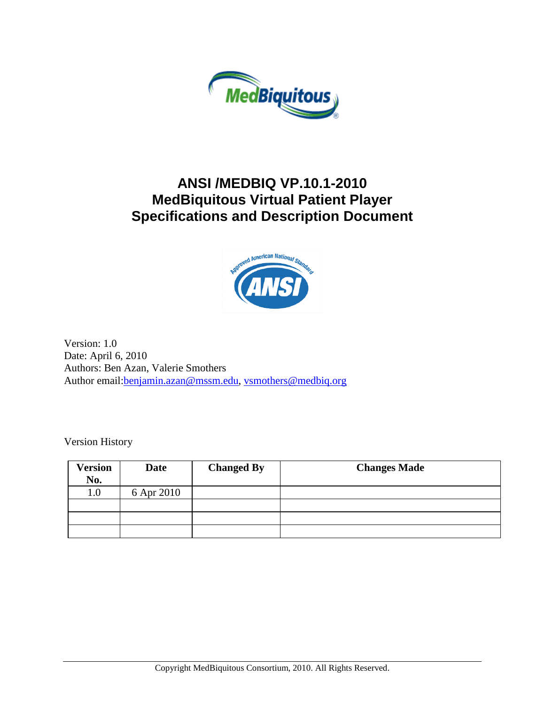

# **ANSI /MEDBIQ VP.10.1-2010 MedBiquitous Virtual Patient Player Specifications and Description Document**



Version: 1.0 Date: April 6, 2010 Authors: Ben Azan, Valerie Smothers Author email: benjamin.azan@mssm.edu, [vsmothers@medbiq.org](mailto:vsmothers@medbiq.org)

Version History

| <b>Version</b> | <b>Date</b> | <b>Changed By</b> | <b>Changes Made</b> |
|----------------|-------------|-------------------|---------------------|
| No.            |             |                   |                     |
| $1.0\,$        | 6 Apr 2010  |                   |                     |
|                |             |                   |                     |
|                |             |                   |                     |
|                |             |                   |                     |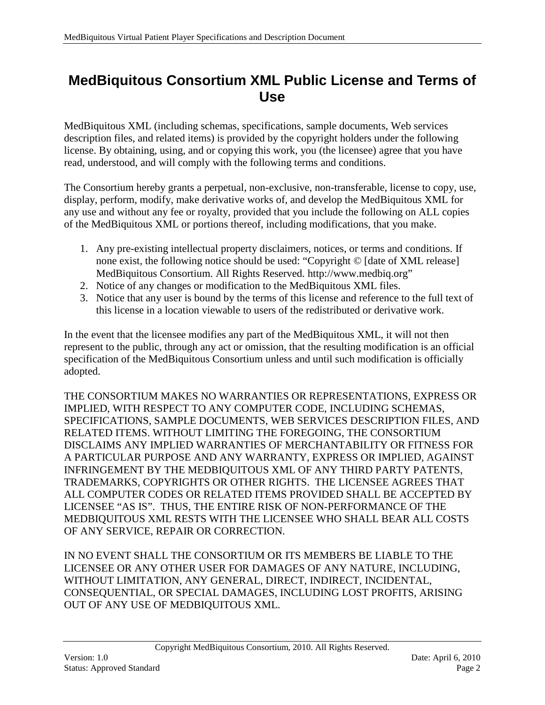# <span id="page-1-0"></span>**MedBiquitous Consortium XML Public License and Terms of Use**

MedBiquitous XML (including schemas, specifications, sample documents, Web services description files, and related items) is provided by the copyright holders under the following license. By obtaining, using, and or copying this work, you (the licensee) agree that you have read, understood, and will comply with the following terms and conditions.

The Consortium hereby grants a perpetual, non-exclusive, non-transferable, license to copy, use, display, perform, modify, make derivative works of, and develop the MedBiquitous XML for any use and without any fee or royalty, provided that you include the following on ALL copies of the MedBiquitous XML or portions thereof, including modifications, that you make.

- 1. Any pre-existing intellectual property disclaimers, notices, or terms and conditions. If none exist, the following notice should be used: "Copyright © [date of XML release] MedBiquitous Consortium. All Rights Reserved. http://www.medbiq.org"
- 2. Notice of any changes or modification to the MedBiquitous XML files.
- 3. Notice that any user is bound by the terms of this license and reference to the full text of this license in a location viewable to users of the redistributed or derivative work.

In the event that the licensee modifies any part of the MedBiquitous XML, it will not then represent to the public, through any act or omission, that the resulting modification is an official specification of the MedBiquitous Consortium unless and until such modification is officially adopted.

THE CONSORTIUM MAKES NO WARRANTIES OR REPRESENTATIONS, EXPRESS OR IMPLIED, WITH RESPECT TO ANY COMPUTER CODE, INCLUDING SCHEMAS, SPECIFICATIONS, SAMPLE DOCUMENTS, WEB SERVICES DESCRIPTION FILES, AND RELATED ITEMS. WITHOUT LIMITING THE FOREGOING, THE CONSORTIUM DISCLAIMS ANY IMPLIED WARRANTIES OF MERCHANTABILITY OR FITNESS FOR A PARTICULAR PURPOSE AND ANY WARRANTY, EXPRESS OR IMPLIED, AGAINST INFRINGEMENT BY THE MEDBIQUITOUS XML OF ANY THIRD PARTY PATENTS, TRADEMARKS, COPYRIGHTS OR OTHER RIGHTS. THE LICENSEE AGREES THAT ALL COMPUTER CODES OR RELATED ITEMS PROVIDED SHALL BE ACCEPTED BY LICENSEE "AS IS". THUS, THE ENTIRE RISK OF NON-PERFORMANCE OF THE MEDBIQUITOUS XML RESTS WITH THE LICENSEE WHO SHALL BEAR ALL COSTS OF ANY SERVICE, REPAIR OR CORRECTION.

IN NO EVENT SHALL THE CONSORTIUM OR ITS MEMBERS BE LIABLE TO THE LICENSEE OR ANY OTHER USER FOR DAMAGES OF ANY NATURE, INCLUDING, WITHOUT LIMITATION, ANY GENERAL, DIRECT, INDIRECT, INCIDENTAL, CONSEQUENTIAL, OR SPECIAL DAMAGES, INCLUDING LOST PROFITS, ARISING OUT OF ANY USE OF MEDBIQUITOUS XML.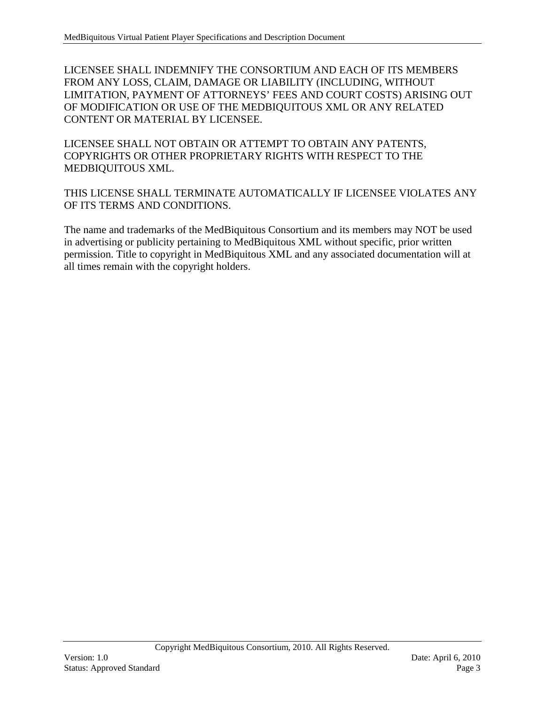LICENSEE SHALL INDEMNIFY THE CONSORTIUM AND EACH OF ITS MEMBERS FROM ANY LOSS, CLAIM, DAMAGE OR LIABILITY (INCLUDING, WITHOUT LIMITATION, PAYMENT OF ATTORNEYS' FEES AND COURT COSTS) ARISING OUT OF MODIFICATION OR USE OF THE MEDBIQUITOUS XML OR ANY RELATED CONTENT OR MATERIAL BY LICENSEE.

LICENSEE SHALL NOT OBTAIN OR ATTEMPT TO OBTAIN ANY PATENTS, COPYRIGHTS OR OTHER PROPRIETARY RIGHTS WITH RESPECT TO THE MEDBIQUITOUS XML.

THIS LICENSE SHALL TERMINATE AUTOMATICALLY IF LICENSEE VIOLATES ANY OF ITS TERMS AND CONDITIONS.

The name and trademarks of the MedBiquitous Consortium and its members may NOT be used in advertising or publicity pertaining to MedBiquitous XML without specific, prior written permission. Title to copyright in MedBiquitous XML and any associated documentation will at all times remain with the copyright holders.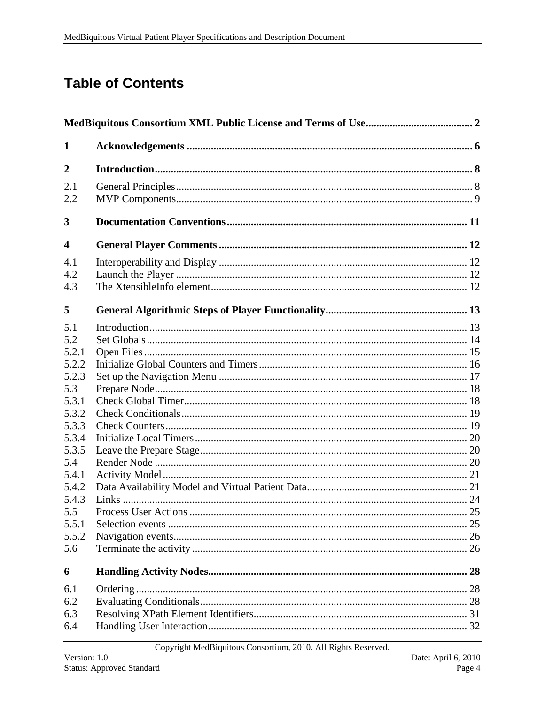# **Table of Contents**

| 1                                                                                                                                                           |  |  |  |
|-------------------------------------------------------------------------------------------------------------------------------------------------------------|--|--|--|
| $\overline{2}$                                                                                                                                              |  |  |  |
| 2.1<br>2.2                                                                                                                                                  |  |  |  |
| 3                                                                                                                                                           |  |  |  |
| $\overline{\mathbf{4}}$                                                                                                                                     |  |  |  |
| 4.1<br>4.2<br>4.3                                                                                                                                           |  |  |  |
| 5                                                                                                                                                           |  |  |  |
| 5.1<br>5.2<br>5.2.1<br>5.2.2<br>5.2.3<br>5.3<br>5.3.1<br>5.3.2<br>5.3.3<br>5.3.4<br>5.3.5<br>5.4<br>5.4.1<br>5.4.2<br>5.4.3<br>5.5<br>5.5.1<br>5.5.2<br>5.6 |  |  |  |
| 6                                                                                                                                                           |  |  |  |
| 6.1<br>6.2<br>6.3<br>6.4                                                                                                                                    |  |  |  |

Copyright MedBiquitous Consortium, 2010. All Rights Reserved.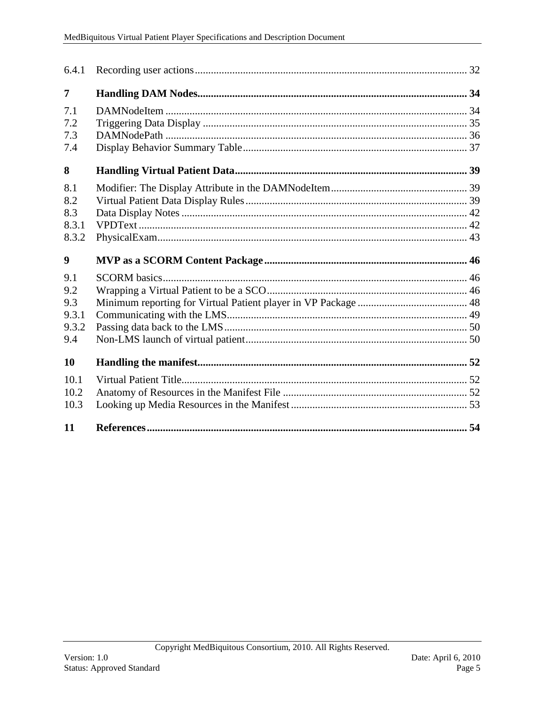| 7     |  |
|-------|--|
| 7.1   |  |
| 7.2   |  |
| 7.3   |  |
| 7.4   |  |
| 8     |  |
| 8.1   |  |
| 8.2   |  |
| 8.3   |  |
| 8.3.1 |  |
| 8.3.2 |  |
| 9     |  |
| 9.1   |  |
| 9.2   |  |
| 9.3   |  |
| 9.3.1 |  |
|       |  |
| 9.3.2 |  |
| 9.4   |  |
| 10    |  |
| 10.1  |  |
| 10.2  |  |
| 10.3  |  |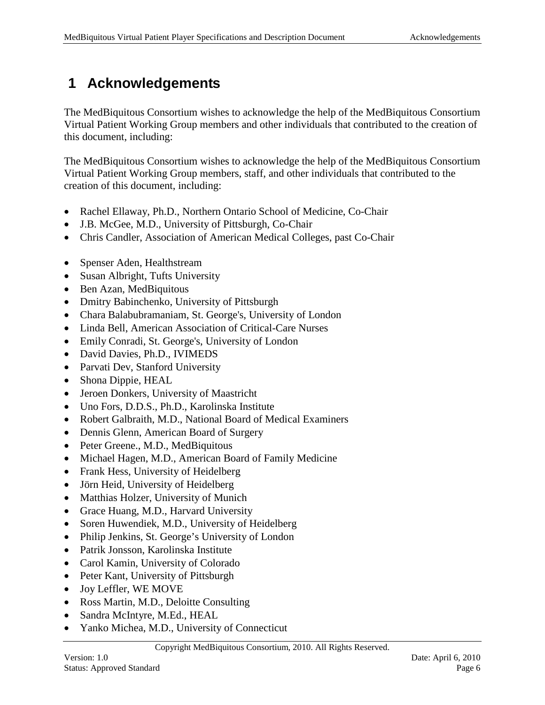# <span id="page-5-0"></span>**1 Acknowledgements**

The MedBiquitous Consortium wishes to acknowledge the help of the MedBiquitous Consortium Virtual Patient Working Group members and other individuals that contributed to the creation of this document, including:

The MedBiquitous Consortium wishes to acknowledge the help of the MedBiquitous Consortium Virtual Patient Working Group members, staff, and other individuals that contributed to the creation of this document, including:

- Rachel Ellaway, Ph.D., Northern Ontario School of Medicine, Co-Chair
- J.B. McGee, M.D., University of Pittsburgh, Co-Chair
- Chris Candler, Association of American Medical Colleges, past Co-Chair
- Spenser Aden, Healthstream
- Susan Albright, Tufts University
- Ben Azan, MedBiquitous
- Dmitry Babinchenko, University of Pittsburgh
- Chara Balabubramaniam, St. George's, University of London
- Linda Bell, American Association of Critical-Care Nurses
- Emily Conradi, St. George's, University of London
- David Davies, Ph.D., IVIMEDS
- Parvati Dev, Stanford University
- Shona Dippie, HEAL
- Jeroen Donkers, University of Maastricht
- Uno Fors, D.D.S., Ph.D., Karolinska Institute
- Robert Galbraith, M.D., National Board of Medical Examiners
- Dennis Glenn, American Board of Surgery
- Peter Greene., M.D., MedBiquitous
- Michael Hagen, M.D., American Board of Family Medicine
- Frank Hess, University of Heidelberg
- Jörn Heid, University of Heidelberg
- Matthias Holzer, University of Munich
- Grace Huang, M.D., Harvard University
- Soren Huwendiek, M.D., University of Heidelberg
- Philip Jenkins, St. George's University of London
- Patrik Jonsson, Karolinska Institute
- Carol Kamin, University of Colorado
- Peter Kant, University of Pittsburgh
- Joy Leffler, WE MOVE
- Ross Martin, M.D., Deloitte Consulting
- Sandra McIntyre, M.Ed., HEAL
- Yanko Michea, M.D., University of Connecticut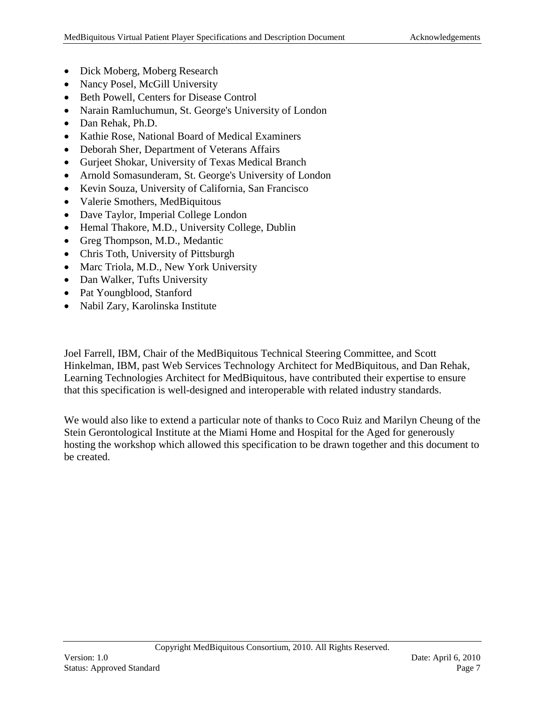- Dick Moberg, Moberg Research
- Nancy Posel, McGill University
- Beth Powell, Centers for Disease Control
- Narain Ramluchumun, St. George's University of London
- Dan Rehak, Ph.D.
- Kathie Rose, National Board of Medical Examiners
- Deborah Sher, Department of Veterans Affairs
- Gurjeet Shokar, University of Texas Medical Branch
- Arnold Somasunderam, St. George's University of London
- Kevin Souza, University of California, San Francisco
- Valerie Smothers, MedBiquitous
- Dave Taylor, Imperial College London
- Hemal Thakore, M.D., University College, Dublin
- Greg Thompson, M.D., Medantic
- Chris Toth, University of Pittsburgh
- Marc Triola, M.D., New York University
- Dan Walker, Tufts University
- Pat Youngblood, Stanford
- Nabil Zary, Karolinska Institute

Joel Farrell, IBM, Chair of the MedBiquitous Technical Steering Committee, and Scott Hinkelman, IBM, past Web Services Technology Architect for MedBiquitous, and Dan Rehak, Learning Technologies Architect for MedBiquitous, have contributed their expertise to ensure that this specification is well-designed and interoperable with related industry standards.

We would also like to extend a particular note of thanks to Coco Ruiz and Marilyn Cheung of the Stein Gerontological Institute at the Miami Home and Hospital for the Aged for generously hosting the workshop which allowed this specification to be drawn together and this document to be created.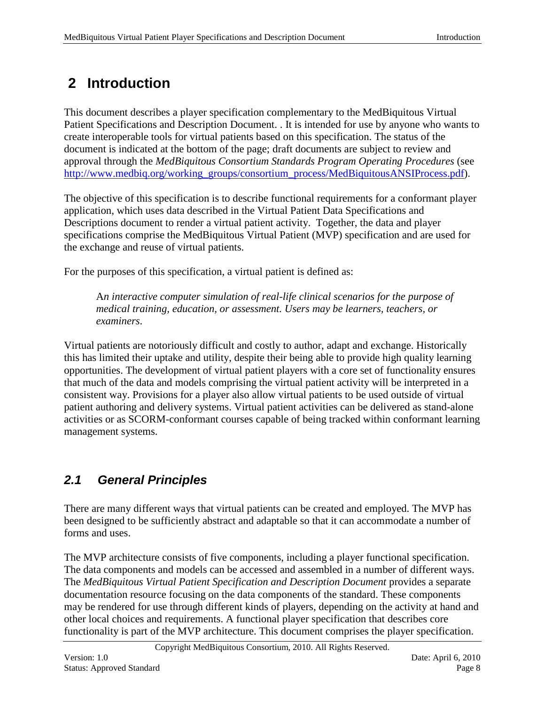# <span id="page-7-0"></span>**2 Introduction**

This document describes a player specification complementary to the MedBiquitous Virtual Patient Specifications and Description Document. . It is intended for use by anyone who wants to create interoperable tools for virtual patients based on this specification. The status of the document is indicated at the bottom of the page; draft documents are subject to review and approval through the *MedBiquitous Consortium Standards Program Operating Procedures* (see [http://www.medbiq.org/working\\_groups/consortium\\_process/MedBiquitousANSIProcess.pdf\)](http://www.medbiq.org/working_groups/consortium_process/MedBiquitousANSIProcess.pdf).

The objective of this specification is to describe functional requirements for a conformant player application, which uses data described in the Virtual Patient Data Specifications and Descriptions document to render a virtual patient activity. Together, the data and player specifications comprise the MedBiquitous Virtual Patient (MVP) specification and are used for the exchange and reuse of virtual patients.

For the purposes of this specification, a virtual patient is defined as:

A*n interactive computer simulation of real-life clinical scenarios for the purpose of medical training, education, or assessment. Users may be learners, teachers, or examiners*.

Virtual patients are notoriously difficult and costly to author, adapt and exchange. Historically this has limited their uptake and utility, despite their being able to provide high quality learning opportunities. The development of virtual patient players with a core set of functionality ensures that much of the data and models comprising the virtual patient activity will be interpreted in a consistent way. Provisions for a player also allow virtual patients to be used outside of virtual patient authoring and delivery systems. Virtual patient activities can be delivered as stand-alone activities or as SCORM-conformant courses capable of being tracked within conformant learning management systems.

# <span id="page-7-1"></span>*2.1 General Principles*

There are many different ways that virtual patients can be created and employed. The MVP has been designed to be sufficiently abstract and adaptable so that it can accommodate a number of forms and uses.

The MVP architecture consists of five components, including a player functional specification. The data components and models can be accessed and assembled in a number of different ways. The *MedBiquitous Virtual Patient Specification and Description Document* provides a separate documentation resource focusing on the data components of the standard. These components may be rendered for use through different kinds of players, depending on the activity at hand and other local choices and requirements. A functional player specification that describes core functionality is part of the MVP architecture. This document comprises the player specification.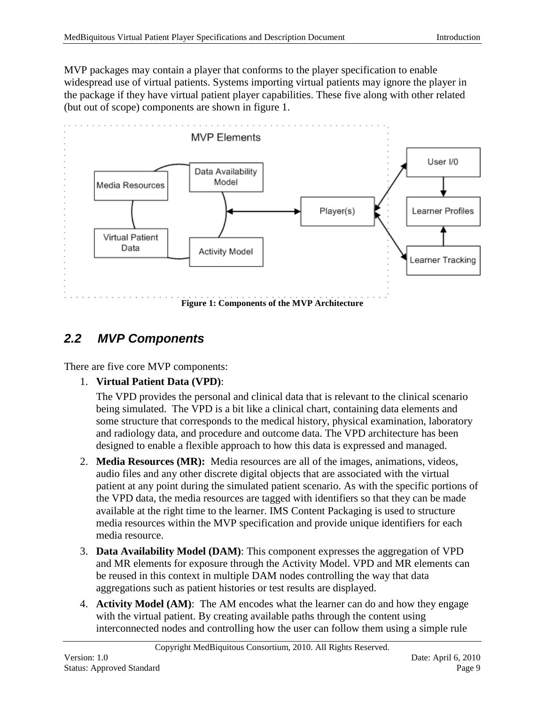MVP packages may contain a player that conforms to the player specification to enable widespread use of virtual patients. Systems importing virtual patients may ignore the player in the package if they have virtual patient player capabilities. These five along with other related (but out of scope) components are shown in figure 1.



# <span id="page-8-0"></span>*2.2 MVP Components*

There are five core MVP components:

1. **Virtual Patient Data (VPD)**:

The VPD provides the personal and clinical data that is relevant to the clinical scenario being simulated. The VPD is a bit like a clinical chart, containing data elements and some structure that corresponds to the medical history, physical examination, laboratory and radiology data, and procedure and outcome data. The VPD architecture has been designed to enable a flexible approach to how this data is expressed and managed.

- 2. **Media Resources (MR):** Media resources are all of the images, animations, videos, audio files and any other discrete digital objects that are associated with the virtual patient at any point during the simulated patient scenario. As with the specific portions of the VPD data, the media resources are tagged with identifiers so that they can be made available at the right time to the learner. IMS Content Packaging is used to structure media resources within the MVP specification and provide unique identifiers for each media resource.
- 3. **Data Availability Model (DAM)**: This component expresses the aggregation of VPD and MR elements for exposure through the Activity Model. VPD and MR elements can be reused in this context in multiple DAM nodes controlling the way that data aggregations such as patient histories or test results are displayed.
- 4. **Activity Model (AM)**: The AM encodes what the learner can do and how they engage with the virtual patient. By creating available paths through the content using interconnected nodes and controlling how the user can follow them using a simple rule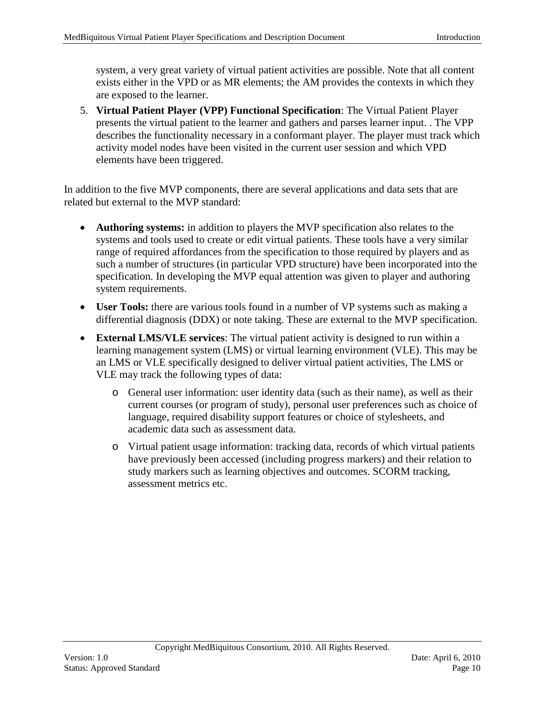system, a very great variety of virtual patient activities are possible. Note that all content exists either in the VPD or as MR elements; the AM provides the contexts in which they are exposed to the learner.

5. **Virtual Patient Player (VPP) Functional Specification**: The Virtual Patient Player presents the virtual patient to the learner and gathers and parses learner input. . The VPP describes the functionality necessary in a conformant player. The player must track which activity model nodes have been visited in the current user session and which VPD elements have been triggered.

In addition to the five MVP components, there are several applications and data sets that are related but external to the MVP standard:

- **Authoring systems:** in addition to players the MVP specification also relates to the systems and tools used to create or edit virtual patients. These tools have a very similar range of required affordances from the specification to those required by players and as such a number of structures (in particular VPD structure) have been incorporated into the specification. In developing the MVP equal attention was given to player and authoring system requirements.
- **User Tools:** there are various tools found in a number of VP systems such as making a differential diagnosis (DDX) or note taking. These are external to the MVP specification.
- **External LMS/VLE services**: The virtual patient activity is designed to run within a learning management system (LMS) or virtual learning environment (VLE). This may be an LMS or VLE specifically designed to deliver virtual patient activities, The LMS or VLE may track the following types of data:
	- o General user information: user identity data (such as their name), as well as their current courses (or program of study), personal user preferences such as choice of language, required disability support features or choice of stylesheets, and academic data such as assessment data.
	- o Virtual patient usage information: tracking data, records of which virtual patients have previously been accessed (including progress markers) and their relation to study markers such as learning objectives and outcomes. SCORM tracking, assessment metrics etc.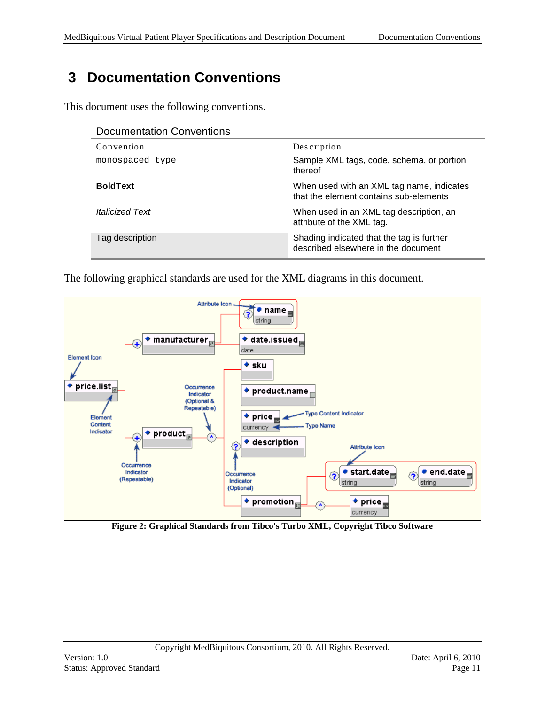# <span id="page-10-0"></span>**3 Documentation Conventions**

This document uses the following conventions.

| <b>Documentation Conventions</b> |                                                                                     |
|----------------------------------|-------------------------------------------------------------------------------------|
| Convention                       | Description                                                                         |
| monospaced type                  | Sample XML tags, code, schema, or portion<br>thereof                                |
| <b>BoldText</b>                  | When used with an XML tag name, indicates<br>that the element contains sub-elements |
| <i><b>Italicized Text</b></i>    | When used in an XML tag description, an<br>attribute of the XML tag.                |
| Tag description                  | Shading indicated that the tag is further<br>described elsewhere in the document    |

The following graphical standards are used for the XML diagrams in this document.



**Figure 2: Graphical Standards from Tibco's Turbo XML, Copyright Tibco Software**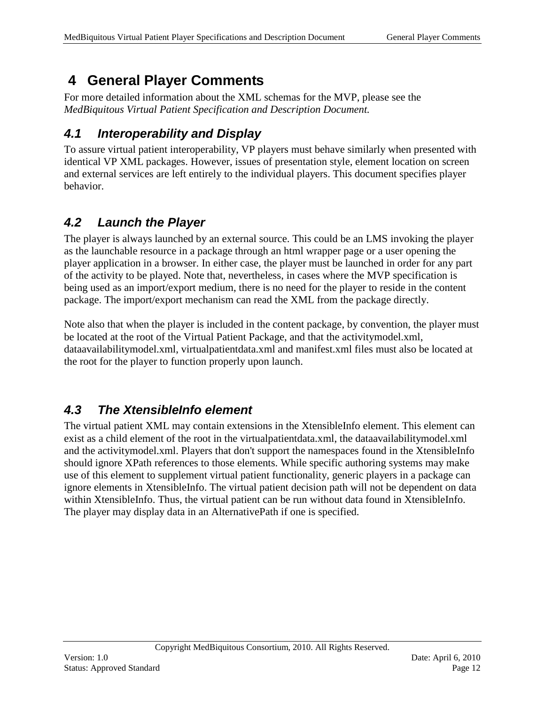# <span id="page-11-0"></span>**4 General Player Comments**

For more detailed information about the XML schemas for the MVP, please see the *MedBiquitous Virtual Patient Specification and Description Document.*

## <span id="page-11-1"></span>*4.1 Interoperability and Display*

To assure virtual patient interoperability, VP players must behave similarly when presented with identical VP XML packages. However, issues of presentation style, element location on screen and external services are left entirely to the individual players. This document specifies player behavior.

# <span id="page-11-2"></span>*4.2 Launch the Player*

The player is always launched by an external source. This could be an LMS invoking the player as the launchable resource in a package through an html wrapper page or a user opening the player application in a browser. In either case, the player must be launched in order for any part of the activity to be played. Note that, nevertheless, in cases where the MVP specification is being used as an import/export medium, there is no need for the player to reside in the content package. The import/export mechanism can read the XML from the package directly.

Note also that when the player is included in the content package, by convention, the player must be located at the root of the Virtual Patient Package, and that the activitymodel.xml, dataavailabilitymodel.xml, virtualpatientdata.xml and manifest.xml files must also be located at the root for the player to function properly upon launch.

## <span id="page-11-3"></span>*4.3 The XtensibleInfo element*

The virtual patient XML may contain extensions in the XtensibleInfo element. This element can exist as a child element of the root in the virtualpatientdata.xml, the dataavailabilitymodel.xml and the activitymodel.xml. Players that don't support the namespaces found in the XtensibleInfo should ignore XPath references to those elements. While specific authoring systems may make use of this element to supplement virtual patient functionality, generic players in a package can ignore elements in XtensibleInfo. The virtual patient decision path will not be dependent on data within XtensibleInfo. Thus, the virtual patient can be run without data found in XtensibleInfo. The player may display data in an AlternativePath if one is specified.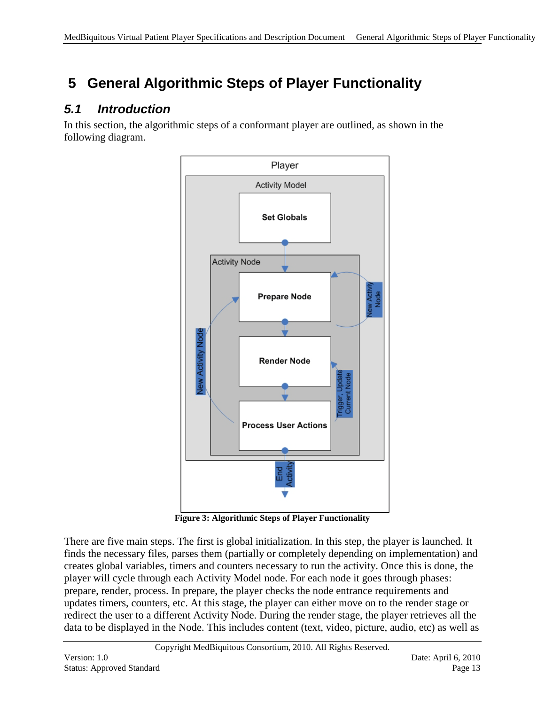# <span id="page-12-0"></span>**5 General Algorithmic Steps of Player Functionality**

# <span id="page-12-1"></span>*5.1 Introduction*

In this section, the algorithmic steps of a conformant player are outlined, as shown in the following diagram.



**Figure 3: Algorithmic Steps of Player Functionality**

There are five main steps. The first is global initialization. In this step, the player is launched. It finds the necessary files, parses them (partially or completely depending on implementation) and creates global variables, timers and counters necessary to run the activity. Once this is done, the player will cycle through each Activity Model node. For each node it goes through phases: prepare, render, process. In prepare, the player checks the node entrance requirements and updates timers, counters, etc. At this stage, the player can either move on to the render stage or redirect the user to a different Activity Node. During the render stage, the player retrieves all the data to be displayed in the Node. This includes content (text, video, picture, audio, etc) as well as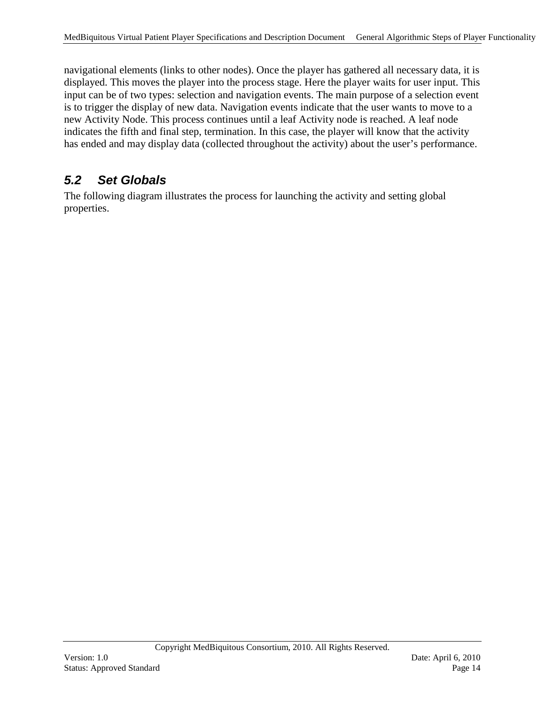navigational elements (links to other nodes). Once the player has gathered all necessary data, it is displayed. This moves the player into the process stage. Here the player waits for user input. This input can be of two types: selection and navigation events. The main purpose of a selection event is to trigger the display of new data. Navigation events indicate that the user wants to move to a new Activity Node. This process continues until a leaf Activity node is reached. A leaf node indicates the fifth and final step, termination. In this case, the player will know that the activity has ended and may display data (collected throughout the activity) about the user's performance.

### <span id="page-13-0"></span>*5.2 Set Globals*

The following diagram illustrates the process for launching the activity and setting global properties.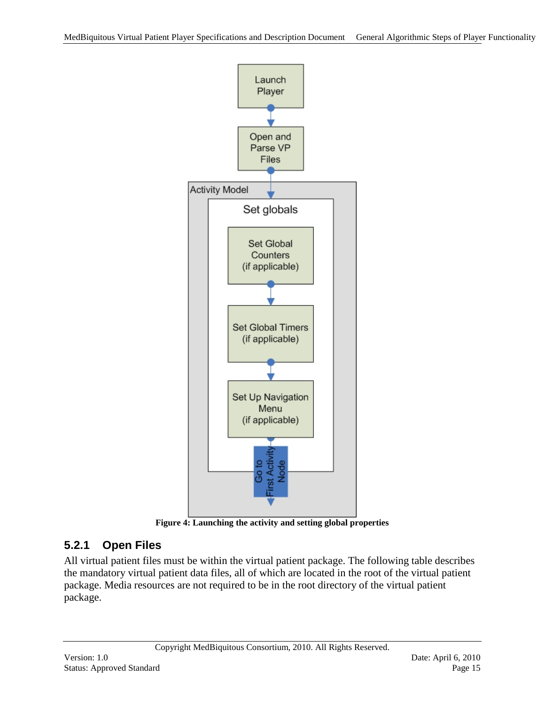

**Figure 4: Launching the activity and setting global properties**

## <span id="page-14-0"></span>**5.2.1 Open Files**

All virtual patient files must be within the virtual patient package. The following table describes the mandatory virtual patient data files, all of which are located in the root of the virtual patient package. Media resources are not required to be in the root directory of the virtual patient package.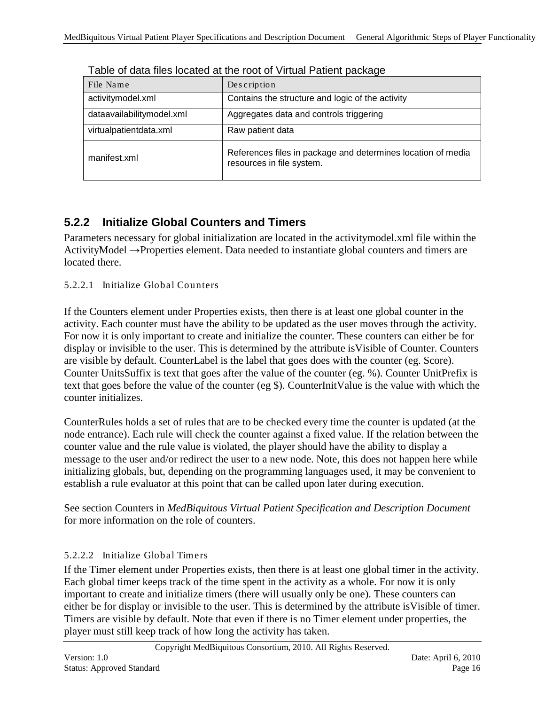| File Name                 | Description                                                                               |  |  |
|---------------------------|-------------------------------------------------------------------------------------------|--|--|
| activitymodel.xml         | Contains the structure and logic of the activity                                          |  |  |
| dataavailabilitymodel.xml | Aggregates data and controls triggering                                                   |  |  |
| virtualpatientdata.xml    | Raw patient data                                                                          |  |  |
| manifest.xml              | References files in package and determines location of media<br>resources in file system. |  |  |

Table of data files located at the root of Virtual Patient package

#### <span id="page-15-0"></span>**5.2.2 Initialize Global Counters and Timers**

Parameters necessary for global initialization are located in the activitymodel.xml file within the ActivityModel →Properties element. Data needed to instantiate global counters and timers are located there.

#### 5.2.2.1 Initialize Global Counters

If the Counters element under Properties exists, then there is at least one global counter in the activity. Each counter must have the ability to be updated as the user moves through the activity. For now it is only important to create and initialize the counter. These counters can either be for display or invisible to the user. This is determined by the attribute isVisible of Counter. Counters are visible by default. CounterLabel is the label that goes does with the counter (eg. Score). Counter UnitsSuffix is text that goes after the value of the counter (eg. %). Counter UnitPrefix is text that goes before the value of the counter (eg \$). CounterInitValue is the value with which the counter initializes.

CounterRules holds a set of rules that are to be checked every time the counter is updated (at the node entrance). Each rule will check the counter against a fixed value. If the relation between the counter value and the rule value is violated, the player should have the ability to display a message to the user and/or redirect the user to a new node. Note, this does not happen here while initializing globals, but, depending on the programming languages used, it may be convenient to establish a rule evaluator at this point that can be called upon later during execution.

See section Counters in *MedBiquitous Virtual Patient Specification and Description Document* for more information on the role of counters.

#### 5.2.2.2 Initialize Global Timers

If the Timer element under Properties exists, then there is at least one global timer in the activity. Each global timer keeps track of the time spent in the activity as a whole. For now it is only important to create and initialize timers (there will usually only be one). These counters can either be for display or invisible to the user. This is determined by the attribute isVisible of timer. Timers are visible by default. Note that even if there is no Timer element under properties, the player must still keep track of how long the activity has taken.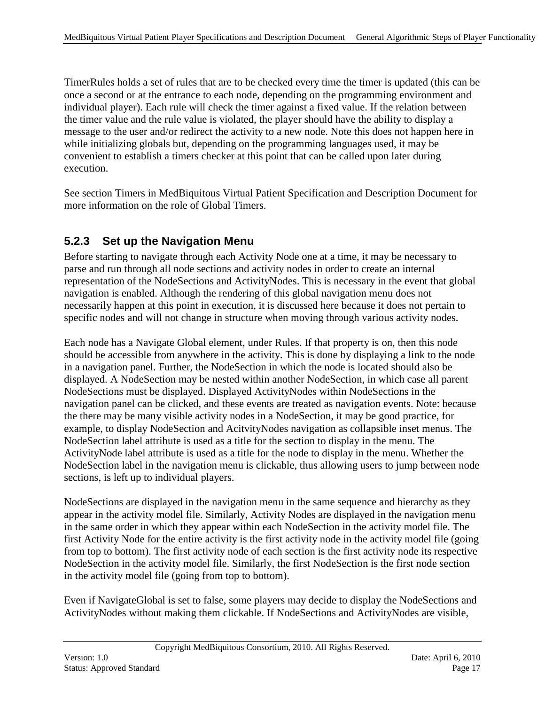TimerRules holds a set of rules that are to be checked every time the timer is updated (this can be once a second or at the entrance to each node, depending on the programming environment and individual player). Each rule will check the timer against a fixed value. If the relation between the timer value and the rule value is violated, the player should have the ability to display a message to the user and/or redirect the activity to a new node. Note this does not happen here in while initializing globals but, depending on the programming languages used, it may be convenient to establish a timers checker at this point that can be called upon later during execution.

See section Timers in MedBiquitous Virtual Patient Specification and Description Document for more information on the role of Global Timers.

#### <span id="page-16-0"></span>**5.2.3 Set up the Navigation Menu**

Before starting to navigate through each Activity Node one at a time, it may be necessary to parse and run through all node sections and activity nodes in order to create an internal representation of the NodeSections and ActivityNodes. This is necessary in the event that global navigation is enabled. Although the rendering of this global navigation menu does not necessarily happen at this point in execution, it is discussed here because it does not pertain to specific nodes and will not change in structure when moving through various activity nodes.

Each node has a Navigate Global element, under Rules. If that property is on, then this node should be accessible from anywhere in the activity. This is done by displaying a link to the node in a navigation panel. Further, the NodeSection in which the node is located should also be displayed. A NodeSection may be nested within another NodeSection, in which case all parent NodeSections must be displayed. Displayed ActivityNodes within NodeSections in the navigation panel can be clicked, and these events are treated as navigation events. Note: because the there may be many visible activity nodes in a NodeSection, it may be good practice, for example, to display NodeSection and AcitvityNodes navigation as collapsible inset menus. The NodeSection label attribute is used as a title for the section to display in the menu. The ActivityNode label attribute is used as a title for the node to display in the menu. Whether the NodeSection label in the navigation menu is clickable, thus allowing users to jump between node sections, is left up to individual players.

NodeSections are displayed in the navigation menu in the same sequence and hierarchy as they appear in the activity model file. Similarly, Activity Nodes are displayed in the navigation menu in the same order in which they appear within each NodeSection in the activity model file. The first Activity Node for the entire activity is the first activity node in the activity model file (going from top to bottom). The first activity node of each section is the first activity node its respective NodeSection in the activity model file. Similarly, the first NodeSection is the first node section in the activity model file (going from top to bottom).

Even if NavigateGlobal is set to false, some players may decide to display the NodeSections and ActivityNodes without making them clickable. If NodeSections and ActivityNodes are visible,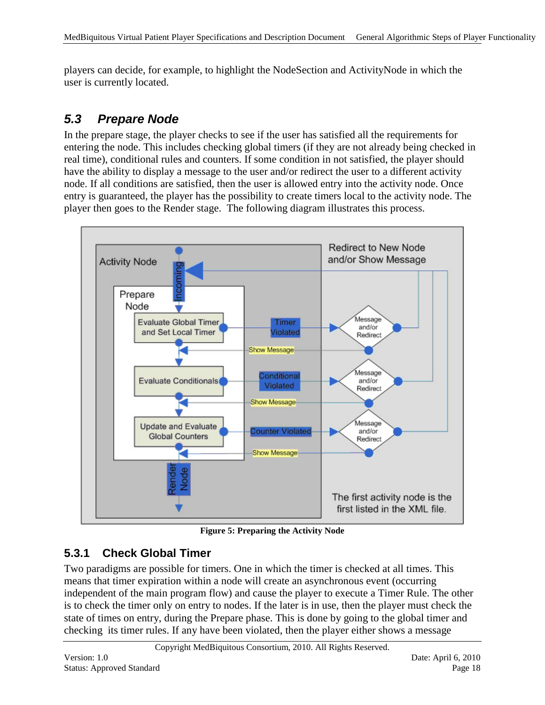players can decide, for example, to highlight the NodeSection and ActivityNode in which the user is currently located.

## <span id="page-17-0"></span>*5.3 Prepare Node*

In the prepare stage, the player checks to see if the user has satisfied all the requirements for entering the node. This includes checking global timers (if they are not already being checked in real time), conditional rules and counters. If some condition in not satisfied, the player should have the ability to display a message to the user and/or redirect the user to a different activity node. If all conditions are satisfied, then the user is allowed entry into the activity node. Once entry is guaranteed, the player has the possibility to create timers local to the activity node. The player then goes to the Render stage. The following diagram illustrates this process.



**Figure 5: Preparing the Activity Node**

#### <span id="page-17-1"></span>**5.3.1 Check Global Timer**

Two paradigms are possible for timers. One in which the timer is checked at all times. This means that timer expiration within a node will create an asynchronous event (occurring independent of the main program flow) and cause the player to execute a Timer Rule. The other is to check the timer only on entry to nodes. If the later is in use, then the player must check the state of times on entry, during the Prepare phase. This is done by going to the global timer and checking its timer rules. If any have been violated, then the player either shows a message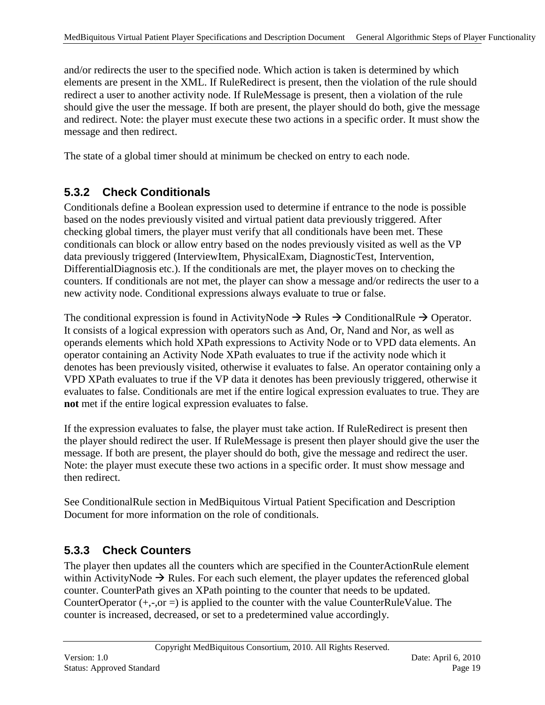and/or redirects the user to the specified node. Which action is taken is determined by which elements are present in the XML. If RuleRedirect is present, then the violation of the rule should redirect a user to another activity node. If RuleMessage is present, then a violation of the rule should give the user the message. If both are present, the player should do both, give the message and redirect. Note: the player must execute these two actions in a specific order. It must show the message and then redirect.

The state of a global timer should at minimum be checked on entry to each node.

#### <span id="page-18-0"></span>**5.3.2 Check Conditionals**

Conditionals define a Boolean expression used to determine if entrance to the node is possible based on the nodes previously visited and virtual patient data previously triggered. After checking global timers, the player must verify that all conditionals have been met. These conditionals can block or allow entry based on the nodes previously visited as well as the VP data previously triggered (InterviewItem, PhysicalExam, DiagnosticTest, Intervention, DifferentialDiagnosis etc.). If the conditionals are met, the player moves on to checking the counters. If conditionals are not met, the player can show a message and/or redirects the user to a new activity node. Conditional expressions always evaluate to true or false.

The conditional expression is found in ActivityNode  $\rightarrow$  Rules  $\rightarrow$  ConditionalRule  $\rightarrow$  Operator. It consists of a logical expression with operators such as And, Or, Nand and Nor, as well as operands elements which hold XPath expressions to Activity Node or to VPD data elements. An operator containing an Activity Node XPath evaluates to true if the activity node which it denotes has been previously visited, otherwise it evaluates to false. An operator containing only a VPD XPath evaluates to true if the VP data it denotes has been previously triggered, otherwise it evaluates to false. Conditionals are met if the entire logical expression evaluates to true. They are **not** met if the entire logical expression evaluates to false.

If the expression evaluates to false, the player must take action. If RuleRedirect is present then the player should redirect the user. If RuleMessage is present then player should give the user the message. If both are present, the player should do both, give the message and redirect the user. Note: the player must execute these two actions in a specific order. It must show message and then redirect.

See ConditionalRule section in MedBiquitous Virtual Patient Specification and Description Document for more information on the role of conditionals.

#### <span id="page-18-1"></span>**5.3.3 Check Counters**

The player then updates all the counters which are specified in the CounterActionRule element within ActivityNode  $\rightarrow$  Rules. For each such element, the player updates the referenced global counter. CounterPath gives an XPath pointing to the counter that needs to be updated. CounterOperator  $(+,-,0)$  is applied to the counter with the value CounterRuleValue. The counter is increased, decreased, or set to a predetermined value accordingly.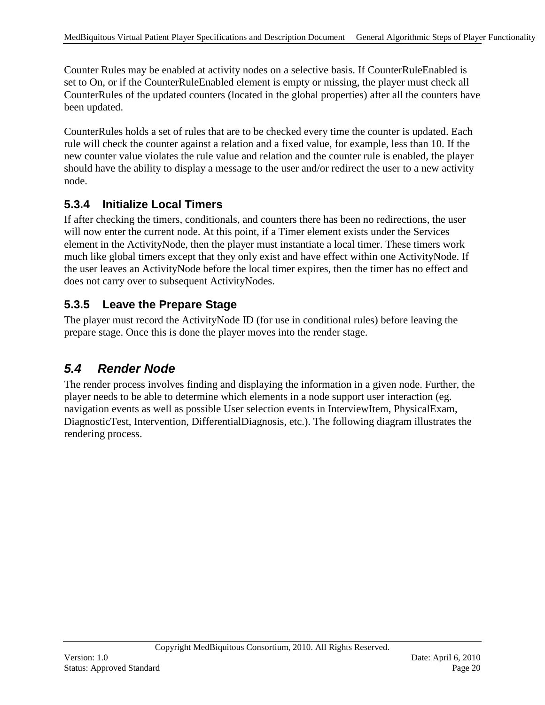Counter Rules may be enabled at activity nodes on a selective basis. If CounterRuleEnabled is set to On, or if the CounterRuleEnabled element is empty or missing, the player must check all CounterRules of the updated counters (located in the global properties) after all the counters have been updated.

CounterRules holds a set of rules that are to be checked every time the counter is updated. Each rule will check the counter against a relation and a fixed value, for example, less than 10. If the new counter value violates the rule value and relation and the counter rule is enabled, the player should have the ability to display a message to the user and/or redirect the user to a new activity node.

#### <span id="page-19-0"></span>**5.3.4 Initialize Local Timers**

If after checking the timers, conditionals, and counters there has been no redirections, the user will now enter the current node. At this point, if a Timer element exists under the Services element in the ActivityNode, then the player must instantiate a local timer. These timers work much like global timers except that they only exist and have effect within one ActivityNode. If the user leaves an ActivityNode before the local timer expires, then the timer has no effect and does not carry over to subsequent ActivityNodes.

#### <span id="page-19-1"></span>**5.3.5 Leave the Prepare Stage**

The player must record the ActivityNode ID (for use in conditional rules) before leaving the prepare stage. Once this is done the player moves into the render stage.

## <span id="page-19-2"></span>*5.4 Render Node*

The render process involves finding and displaying the information in a given node. Further, the player needs to be able to determine which elements in a node support user interaction (eg. navigation events as well as possible User selection events in InterviewItem, PhysicalExam, DiagnosticTest, Intervention, DifferentialDiagnosis, etc.). The following diagram illustrates the rendering process.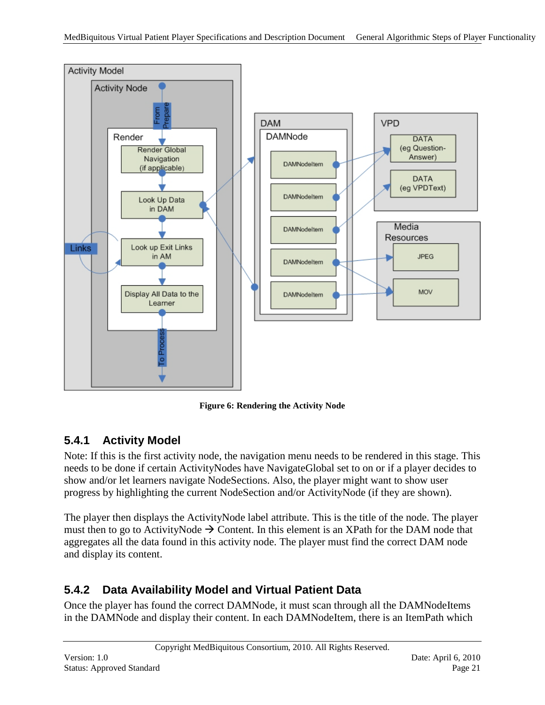

**Figure 6: Rendering the Activity Node**

#### <span id="page-20-0"></span>**5.4.1 Activity Model**

Note: If this is the first activity node, the navigation menu needs to be rendered in this stage. This needs to be done if certain ActivityNodes have NavigateGlobal set to on or if a player decides to show and/or let learners navigate NodeSections. Also, the player might want to show user progress by highlighting the current NodeSection and/or ActivityNode (if they are shown).

The player then displays the ActivityNode label attribute. This is the title of the node. The player must then to go to ActivityNode  $\rightarrow$  Content. In this element is an XPath for the DAM node that aggregates all the data found in this activity node. The player must find the correct DAM node and display its content.

#### <span id="page-20-1"></span>**5.4.2 Data Availability Model and Virtual Patient Data**

Once the player has found the correct DAMNode, it must scan through all the DAMNodeItems in the DAMNode and display their content. In each DAMNodeItem, there is an ItemPath which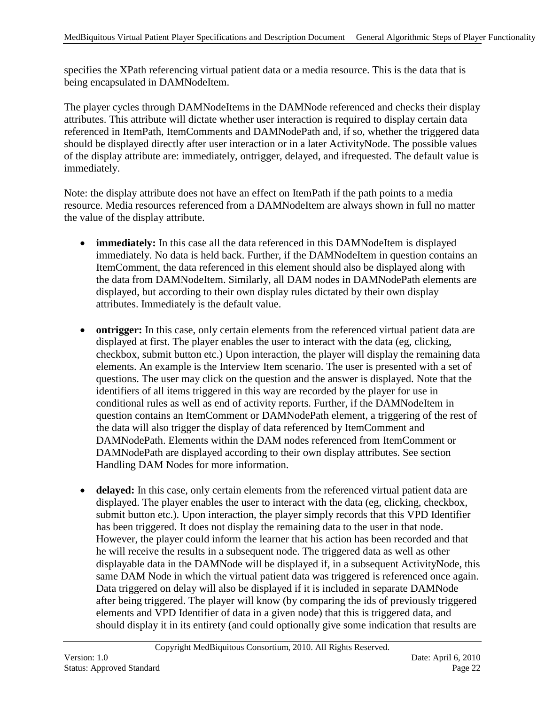specifies the XPath referencing virtual patient data or a media resource. This is the data that is being encapsulated in DAMNodeItem.

The player cycles through DAMNodeItems in the DAMNode referenced and checks their display attributes. This attribute will dictate whether user interaction is required to display certain data referenced in ItemPath, ItemComments and DAMNodePath and, if so, whether the triggered data should be displayed directly after user interaction or in a later ActivityNode. The possible values of the display attribute are: immediately, ontrigger, delayed, and ifrequested. The default value is immediately.

Note: the display attribute does not have an effect on ItemPath if the path points to a media resource. Media resources referenced from a DAMNodeItem are always shown in full no matter the value of the display attribute.

- **immediately:** In this case all the data referenced in this DAMNodeItem is displayed immediately. No data is held back. Further, if the DAMNodeItem in question contains an ItemComment, the data referenced in this element should also be displayed along with the data from DAMNodeItem. Similarly, all DAM nodes in DAMNodePath elements are displayed, but according to their own display rules dictated by their own display attributes. Immediately is the default value.
- **ontrigger:** In this case, only certain elements from the referenced virtual patient data are displayed at first. The player enables the user to interact with the data (eg, clicking, checkbox, submit button etc.) Upon interaction, the player will display the remaining data elements. An example is the Interview Item scenario. The user is presented with a set of questions. The user may click on the question and the answer is displayed. Note that the identifiers of all items triggered in this way are recorded by the player for use in conditional rules as well as end of activity reports. Further, if the DAMNodeItem in question contains an ItemComment or DAMNodePath element, a triggering of the rest of the data will also trigger the display of data referenced by ItemComment and DAMNodePath. Elements within the DAM nodes referenced from ItemComment or DAMNodePath are displayed according to their own display attributes. See section Handling DAM Nodes for more information.
- **delayed:** In this case, only certain elements from the referenced virtual patient data are displayed. The player enables the user to interact with the data (eg, clicking, checkbox, submit button etc.). Upon interaction, the player simply records that this VPD Identifier has been triggered. It does not display the remaining data to the user in that node. However, the player could inform the learner that his action has been recorded and that he will receive the results in a subsequent node. The triggered data as well as other displayable data in the DAMNode will be displayed if, in a subsequent ActivityNode, this same DAM Node in which the virtual patient data was triggered is referenced once again. Data triggered on delay will also be displayed if it is included in separate DAMNode after being triggered. The player will know (by comparing the ids of previously triggered elements and VPD Identifier of data in a given node) that this is triggered data, and should display it in its entirety (and could optionally give some indication that results are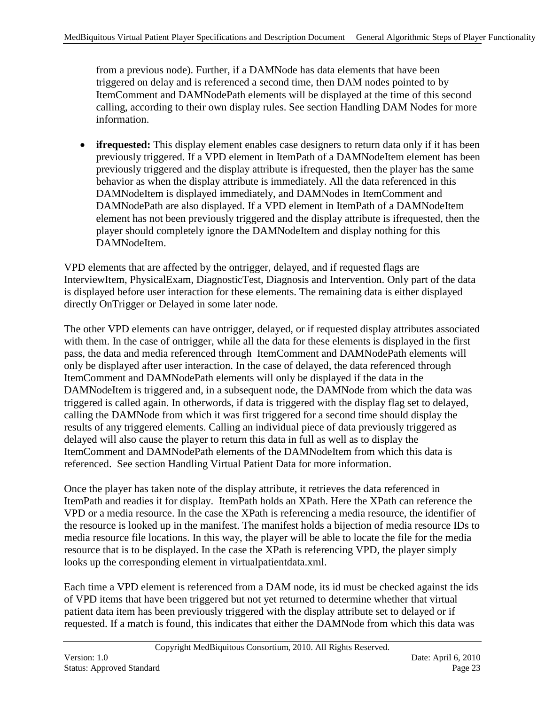from a previous node). Further, if a DAMNode has data elements that have been triggered on delay and is referenced a second time, then DAM nodes pointed to by ItemComment and DAMNodePath elements will be displayed at the time of this second calling, according to their own display rules. See section Handling DAM Nodes for more information.

• **ifrequested:** This display element enables case designers to return data only if it has been previously triggered. If a VPD element in ItemPath of a DAMNodeItem element has been previously triggered and the display attribute is ifrequested, then the player has the same behavior as when the display attribute is immediately. All the data referenced in this DAMNodeItem is displayed immediately, and DAMNodes in ItemComment and DAMNodePath are also displayed. If a VPD element in ItemPath of a DAMNodeItem element has not been previously triggered and the display attribute is ifrequested, then the player should completely ignore the DAMNodeItem and display nothing for this DAMNodeItem.

VPD elements that are affected by the ontrigger, delayed, and if requested flags are InterviewItem, PhysicalExam, DiagnosticTest, Diagnosis and Intervention. Only part of the data is displayed before user interaction for these elements. The remaining data is either displayed directly OnTrigger or Delayed in some later node.

The other VPD elements can have ontrigger, delayed, or if requested display attributes associated with them. In the case of ontrigger, while all the data for these elements is displayed in the first pass, the data and media referenced through ItemComment and DAMNodePath elements will only be displayed after user interaction. In the case of delayed, the data referenced through ItemComment and DAMNodePath elements will only be displayed if the data in the DAMNodeItem is triggered and, in a subsequent node, the DAMNode from which the data was triggered is called again. In otherwords, if data is triggered with the display flag set to delayed, calling the DAMNode from which it was first triggered for a second time should display the results of any triggered elements. Calling an individual piece of data previously triggered as delayed will also cause the player to return this data in full as well as to display the ItemComment and DAMNodePath elements of the DAMNodeItem from which this data is referenced. See section Handling Virtual Patient Data for more information.

Once the player has taken note of the display attribute, it retrieves the data referenced in ItemPath and readies it for display. ItemPath holds an XPath. Here the XPath can reference the VPD or a media resource. In the case the XPath is referencing a media resource, the identifier of the resource is looked up in the manifest. The manifest holds a bijection of media resource IDs to media resource file locations. In this way, the player will be able to locate the file for the media resource that is to be displayed. In the case the XPath is referencing VPD, the player simply looks up the corresponding element in virtualpatientdata.xml.

Each time a VPD element is referenced from a DAM node, its id must be checked against the ids of VPD items that have been triggered but not yet returned to determine whether that virtual patient data item has been previously triggered with the display attribute set to delayed or if requested. If a match is found, this indicates that either the DAMNode from which this data was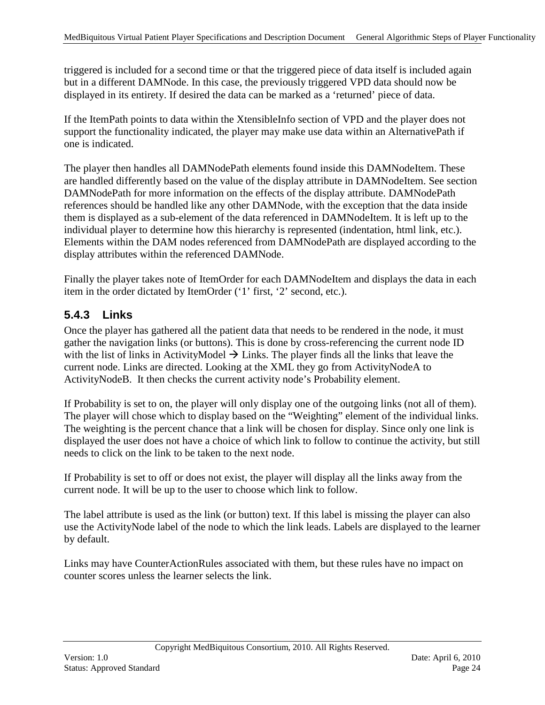triggered is included for a second time or that the triggered piece of data itself is included again but in a different DAMNode. In this case, the previously triggered VPD data should now be displayed in its entirety. If desired the data can be marked as a 'returned' piece of data.

If the ItemPath points to data within the XtensibleInfo section of VPD and the player does not support the functionality indicated, the player may make use data within an AlternativePath if one is indicated.

The player then handles all DAMNodePath elements found inside this DAMNodeItem. These are handled differently based on the value of the display attribute in DAMNodeItem. See section DAMNodePath for more information on the effects of the display attribute. DAMNodePath references should be handled like any other DAMNode, with the exception that the data inside them is displayed as a sub-element of the data referenced in DAMNodeItem. It is left up to the individual player to determine how this hierarchy is represented (indentation, html link, etc.). Elements within the DAM nodes referenced from DAMNodePath are displayed according to the display attributes within the referenced DAMNode.

Finally the player takes note of ItemOrder for each DAMNodeItem and displays the data in each item in the order dictated by ItemOrder ('1' first, '2' second, etc.).

### <span id="page-23-0"></span>**5.4.3 Links**

Once the player has gathered all the patient data that needs to be rendered in the node, it must gather the navigation links (or buttons). This is done by cross-referencing the current node ID with the list of links in ActivityModel  $\rightarrow$  Links. The player finds all the links that leave the current node. Links are directed. Looking at the XML they go from ActivityNodeA to ActivityNodeB. It then checks the current activity node's Probability element.

If Probability is set to on, the player will only display one of the outgoing links (not all of them). The player will chose which to display based on the "Weighting" element of the individual links. The weighting is the percent chance that a link will be chosen for display. Since only one link is displayed the user does not have a choice of which link to follow to continue the activity, but still needs to click on the link to be taken to the next node.

If Probability is set to off or does not exist, the player will display all the links away from the current node. It will be up to the user to choose which link to follow.

The label attribute is used as the link (or button) text. If this label is missing the player can also use the ActivityNode label of the node to which the link leads. Labels are displayed to the learner by default.

Links may have CounterActionRules associated with them, but these rules have no impact on counter scores unless the learner selects the link.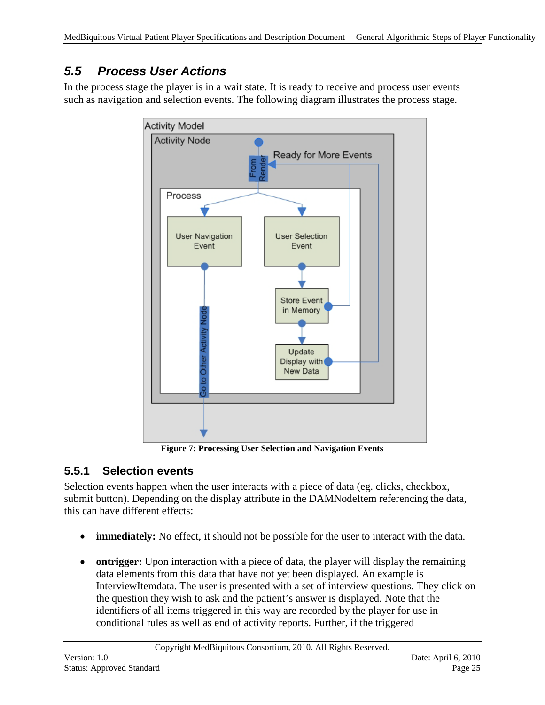## <span id="page-24-0"></span>*5.5 Process User Actions*

In the process stage the player is in a wait state. It is ready to receive and process user events such as navigation and selection events. The following diagram illustrates the process stage.



**Figure 7: Processing User Selection and Navigation Events**

#### <span id="page-24-1"></span>**5.5.1 Selection events**

Selection events happen when the user interacts with a piece of data (eg. clicks, checkbox, submit button). Depending on the display attribute in the DAMNodeItem referencing the data, this can have different effects:

- **immediately:** No effect, it should not be possible for the user to interact with the data.
- **ontrigger:** Upon interaction with a piece of data, the player will display the remaining data elements from this data that have not yet been displayed. An example is InterviewItemdata. The user is presented with a set of interview questions. They click on the question they wish to ask and the patient's answer is displayed. Note that the identifiers of all items triggered in this way are recorded by the player for use in conditional rules as well as end of activity reports. Further, if the triggered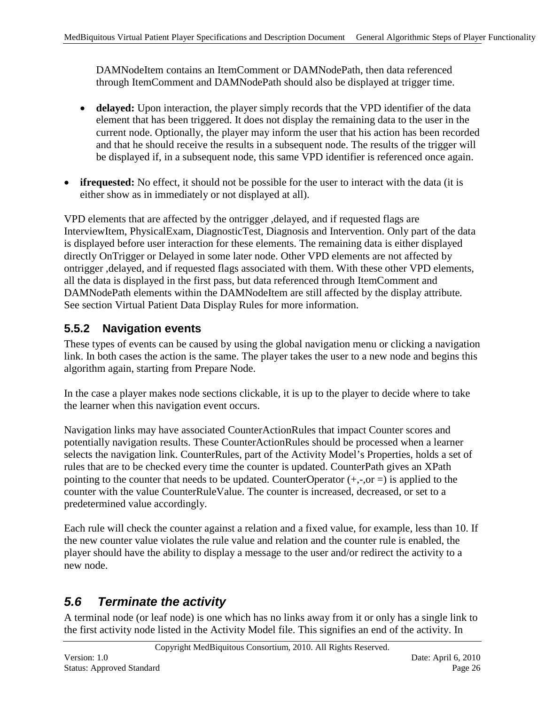DAMNodeItem contains an ItemComment or DAMNodePath, then data referenced through ItemComment and DAMNodePath should also be displayed at trigger time.

- **delayed:** Upon interaction, the player simply records that the VPD identifier of the data element that has been triggered. It does not display the remaining data to the user in the current node. Optionally, the player may inform the user that his action has been recorded and that he should receive the results in a subsequent node. The results of the trigger will be displayed if, in a subsequent node, this same VPD identifier is referenced once again.
- **ifrequested:** No effect, it should not be possible for the user to interact with the data (it is either show as in immediately or not displayed at all).

VPD elements that are affected by the ontrigger ,delayed, and if requested flags are InterviewItem, PhysicalExam, DiagnosticTest, Diagnosis and Intervention. Only part of the data is displayed before user interaction for these elements. The remaining data is either displayed directly OnTrigger or Delayed in some later node. Other VPD elements are not affected by ontrigger ,delayed, and if requested flags associated with them. With these other VPD elements, all the data is displayed in the first pass, but data referenced through ItemComment and DAMNodePath elements within the DAMNodeItem are still affected by the display attribute*.*  See section Virtual Patient Data Display Rules for more information.

#### <span id="page-25-0"></span>**5.5.2 Navigation events**

These types of events can be caused by using the global navigation menu or clicking a navigation link. In both cases the action is the same. The player takes the user to a new node and begins this algorithm again, starting from Prepare Node.

In the case a player makes node sections clickable, it is up to the player to decide where to take the learner when this navigation event occurs.

Navigation links may have associated CounterActionRules that impact Counter scores and potentially navigation results. These CounterActionRules should be processed when a learner selects the navigation link. CounterRules, part of the Activity Model's Properties, holds a set of rules that are to be checked every time the counter is updated. CounterPath gives an XPath pointing to the counter that needs to be updated. CounterOperator  $(+,-,0)$  is applied to the counter with the value CounterRuleValue. The counter is increased, decreased, or set to a predetermined value accordingly.

Each rule will check the counter against a relation and a fixed value, for example, less than 10. If the new counter value violates the rule value and relation and the counter rule is enabled, the player should have the ability to display a message to the user and/or redirect the activity to a new node.

## <span id="page-25-1"></span>*5.6 Terminate the activity*

A terminal node (or leaf node) is one which has no links away from it or only has a single link to the first activity node listed in the Activity Model file. This signifies an end of the activity. In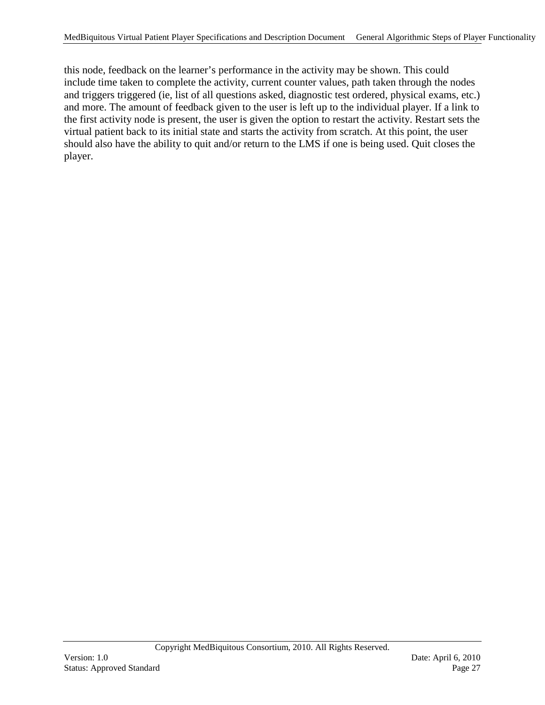this node, feedback on the learner's performance in the activity may be shown. This could include time taken to complete the activity, current counter values, path taken through the nodes and triggers triggered (ie, list of all questions asked, diagnostic test ordered, physical exams, etc.) and more. The amount of feedback given to the user is left up to the individual player. If a link to the first activity node is present, the user is given the option to restart the activity. Restart sets the virtual patient back to its initial state and starts the activity from scratch. At this point, the user should also have the ability to quit and/or return to the LMS if one is being used. Quit closes the player.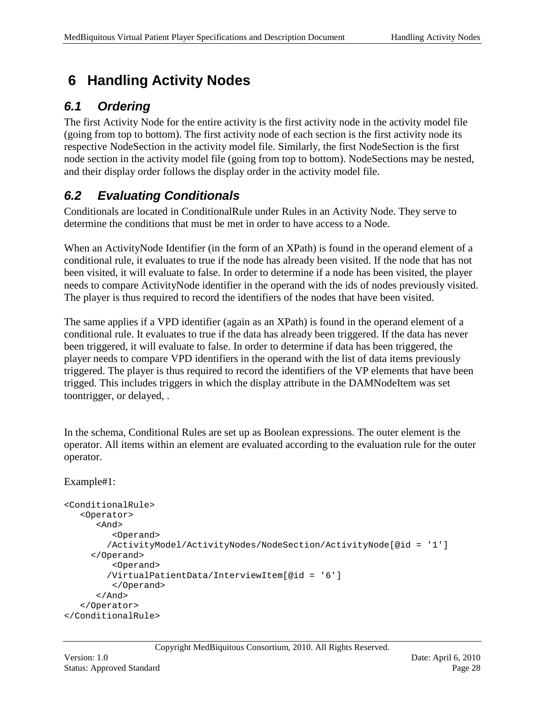# <span id="page-27-0"></span>**6 Handling Activity Nodes**

## <span id="page-27-1"></span>*6.1 Ordering*

The first Activity Node for the entire activity is the first activity node in the activity model file (going from top to bottom). The first activity node of each section is the first activity node its respective NodeSection in the activity model file. Similarly, the first NodeSection is the first node section in the activity model file (going from top to bottom). NodeSections may be nested, and their display order follows the display order in the activity model file.

# <span id="page-27-2"></span>*6.2 Evaluating Conditionals*

Conditionals are located in ConditionalRule under Rules in an Activity Node. They serve to determine the conditions that must be met in order to have access to a Node.

When an ActivityNode Identifier (in the form of an XPath) is found in the operand element of a conditional rule, it evaluates to true if the node has already been visited. If the node that has not been visited, it will evaluate to false. In order to determine if a node has been visited, the player needs to compare ActivityNode identifier in the operand with the ids of nodes previously visited. The player is thus required to record the identifiers of the nodes that have been visited.

The same applies if a VPD identifier (again as an XPath) is found in the operand element of a conditional rule. It evaluates to true if the data has already been triggered. If the data has never been triggered, it will evaluate to false. In order to determine if data has been triggered, the player needs to compare VPD identifiers in the operand with the list of data items previously triggered. The player is thus required to record the identifiers of the VP elements that have been trigged. This includes triggers in which the display attribute in the DAMNodeItem was set toontrigger, or delayed, .

In the schema, Conditional Rules are set up as Boolean expressions. The outer element is the operator. All items within an element are evaluated according to the evaluation rule for the outer operator.

#### Example#1:

```
<ConditionalRule>
    <Operator>
       <And> 
          <Operand>
         /ActivityModel/ActivityNodes/NodeSection/ActivityNode[@id = '1']
      </Operand>
          <Operand>
         /VirtualPatientData/InterviewItem[@id = '6']
          </Operand>
       </And>
    </Operator>
</ConditionalRule>
```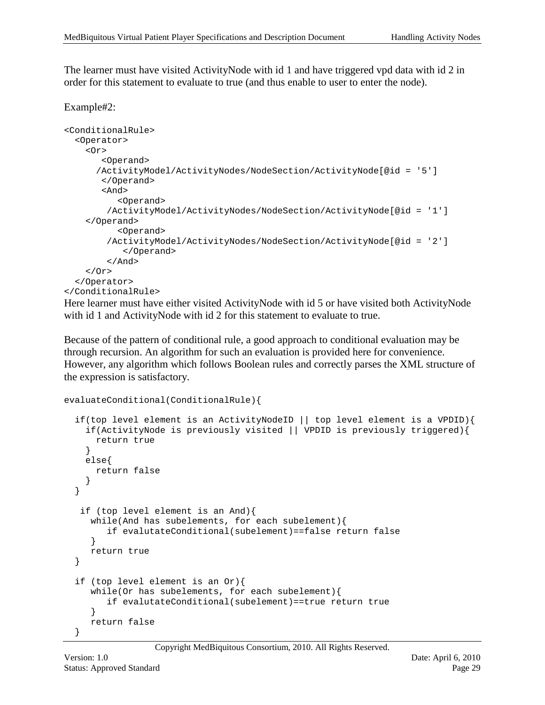The learner must have visited ActivityNode with id 1 and have triggered vpd data with id 2 in order for this statement to evaluate to true (and thus enable to user to enter the node).

#### Example#2:

```
<ConditionalRule>
   <Operator>
     <Or>
        <Operand>
       /ActivityModel/ActivityNodes/NodeSection/ActivityNode[@id = '5'] 
        </Operand>
        <And>
           <Operand>
         /ActivityModel/ActivityNodes/NodeSection/ActivityNode[@id = '1'] 
     </Operand>
           <Operand>
         /ActivityModel/ActivityNodes/NodeSection/ActivityNode[@id = '2'] 
            </Operand>
         </And>
     </Or>
   </Operator>
</ConditionalRule>
```
Here learner must have either visited ActivityNode with id 5 or have visited both ActivityNode with id 1 and Activity Node with id 2 for this statement to evaluate to true.

Because of the pattern of conditional rule, a good approach to conditional evaluation may be through recursion. An algorithm for such an evaluation is provided here for convenience. However, any algorithm which follows Boolean rules and correctly parses the XML structure of the expression is satisfactory.

```
evaluateConditional(ConditionalRule){
```

```
 if(top level element is an ActivityNodeID || top level element is a VPDID){
     if(ActivityNode is previously visited || VPDID is previously triggered){
      return true
 }
    else{
      return false
     }
  }
    if (top level element is an And){
     while(And has subelements, for each subelement){
         if evalutateConditional(subelement)==false return false
  }
     return true
 }
 if (top level element is an Or){
     while(Or has subelements, for each subelement){
         if evalutateConditional(subelement)==true return true
      }
     return false
 }
```
Copyright MedBiquitous Consortium, 2010. All Rights Reserved.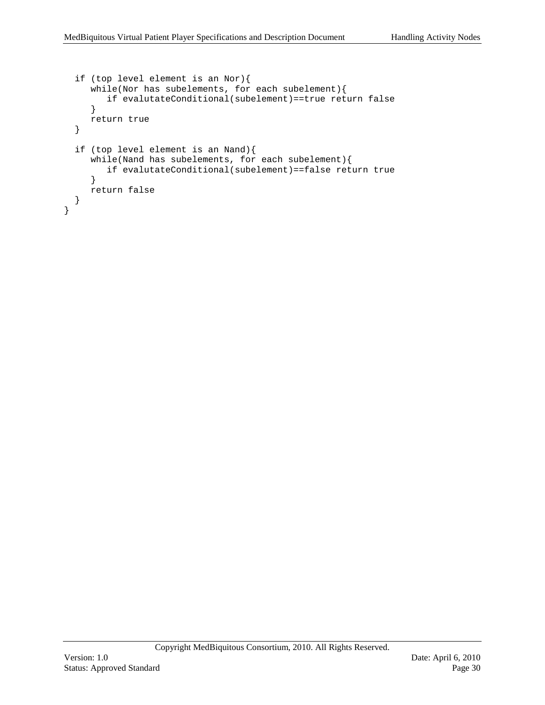```
if (top level element is an Nor){
      while(Nor has subelements, for each subelement){
         if evalutateConditional(subelement)==true return false
      }
     return true
  }
  if (top level element is an Nand){
     while(Nand has subelements, for each subelement){
         if evalutateConditional(subelement)==false return true
      }
     return false
  }
}
```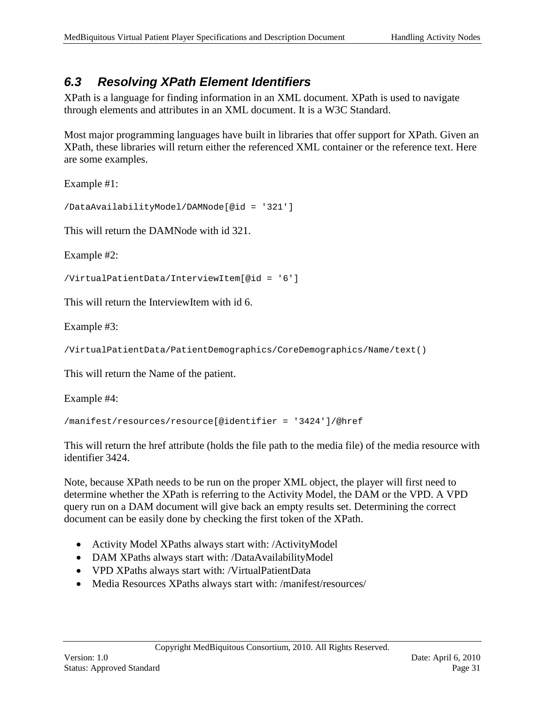## <span id="page-30-0"></span>*6.3 Resolving XPath Element Identifiers*

XPath is a language for finding information in an XML document. XPath is used to navigate through elements and attributes in an XML document. It is a W3C Standard.

Most major programming languages have built in libraries that offer support for XPath. Given an XPath, these libraries will return either the referenced XML container or the reference text. Here are some examples.

Example #1:

```
/DataAvailabilityModel/DAMNode[@id = '321']
```
This will return the DAMNode with id 321.

Example #2:

```
/VirtualPatientData/InterviewItem[@id = '6']
```
This will return the InterviewItem with id 6.

Example #3:

```
/VirtualPatientData/PatientDemographics/CoreDemographics/Name/text()
```
This will return the Name of the patient.

Example #4:

```
/manifest/resources/resource[@identifier = '3424']/@href
```
This will return the href attribute (holds the file path to the media file) of the media resource with identifier 3424.

Note, because XPath needs to be run on the proper XML object, the player will first need to determine whether the XPath is referring to the Activity Model, the DAM or the VPD. A VPD query run on a DAM document will give back an empty results set. Determining the correct document can be easily done by checking the first token of the XPath.

- Activity Model XPaths always start with: /ActivityModel
- DAM XPaths always start with: /DataAvailabilityModel
- VPD XPaths always start with: /VirtualPatientData
- Media Resources XPaths always start with: /manifest/resources/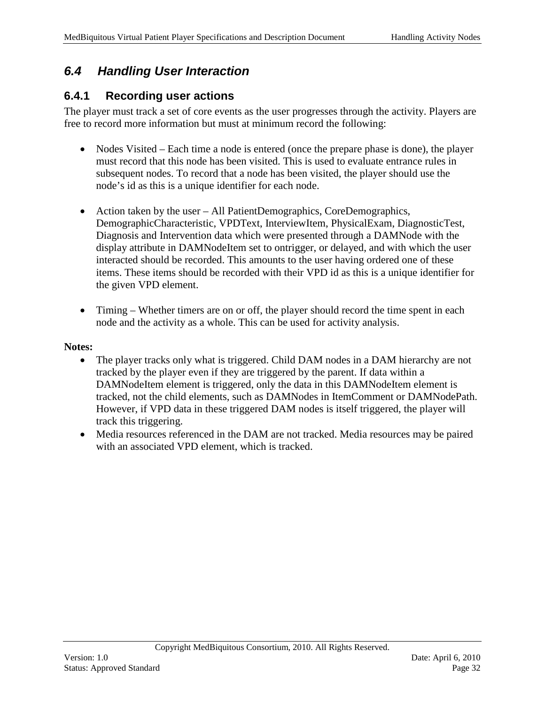### <span id="page-31-0"></span>*6.4 Handling User Interaction*

#### <span id="page-31-1"></span>**6.4.1 Recording user actions**

The player must track a set of core events as the user progresses through the activity. Players are free to record more information but must at minimum record the following:

- Nodes Visited Each time a node is entered (once the prepare phase is done), the player must record that this node has been visited. This is used to evaluate entrance rules in subsequent nodes. To record that a node has been visited, the player should use the node's id as this is a unique identifier for each node.
- Action taken by the user All PatientDemographics, CoreDemographics, DemographicCharacteristic, VPDText, InterviewItem, PhysicalExam, DiagnosticTest, Diagnosis and Intervention data which were presented through a DAMNode with the display attribute in DAMNodeItem set to ontrigger, or delayed, and with which the user interacted should be recorded. This amounts to the user having ordered one of these items. These items should be recorded with their VPD id as this is a unique identifier for the given VPD element.
- Timing Whether timers are on or off, the player should record the time spent in each node and the activity as a whole. This can be used for activity analysis.

#### **Notes:**

- The player tracks only what is triggered. Child DAM nodes in a DAM hierarchy are not tracked by the player even if they are triggered by the parent. If data within a DAMNodeItem element is triggered, only the data in this DAMNodeItem element is tracked, not the child elements, such as DAMNodes in ItemComment or DAMNodePath. However, if VPD data in these triggered DAM nodes is itself triggered, the player will track this triggering.
- Media resources referenced in the DAM are not tracked. Media resources may be paired with an associated VPD element, which is tracked.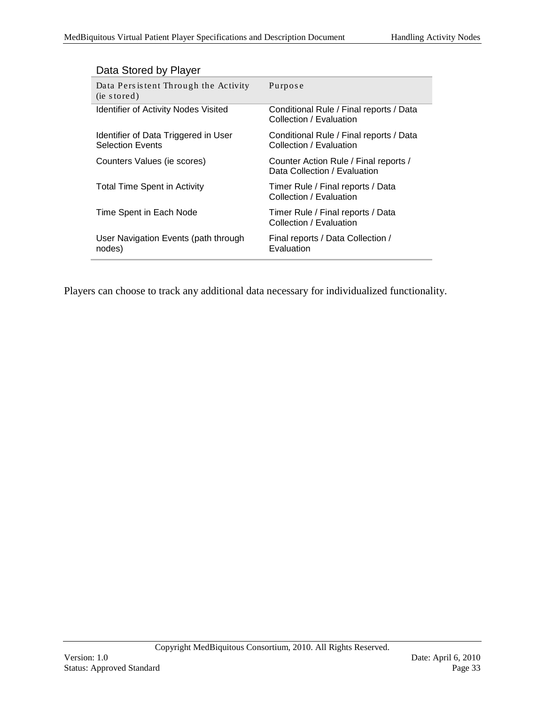| Data Pers is tent Through the Activity<br>(ie stored)           | Purpose                                                               |
|-----------------------------------------------------------------|-----------------------------------------------------------------------|
| <b>Identifier of Activity Nodes Visited</b>                     | Conditional Rule / Final reports / Data<br>Collection / Evaluation    |
| Identifier of Data Triggered in User<br><b>Selection Events</b> | Conditional Rule / Final reports / Data<br>Collection / Evaluation    |
| Counters Values (ie scores)                                     | Counter Action Rule / Final reports /<br>Data Collection / Evaluation |
| <b>Total Time Spent in Activity</b>                             | Timer Rule / Final reports / Data<br>Collection / Evaluation          |
| Time Spent in Each Node                                         | Timer Rule / Final reports / Data<br>Collection / Evaluation          |
| User Navigation Events (path through<br>nodes)                  | Final reports / Data Collection /<br>Evaluation                       |

#### Data Stored by Player

Players can choose to track any additional data necessary for individualized functionality.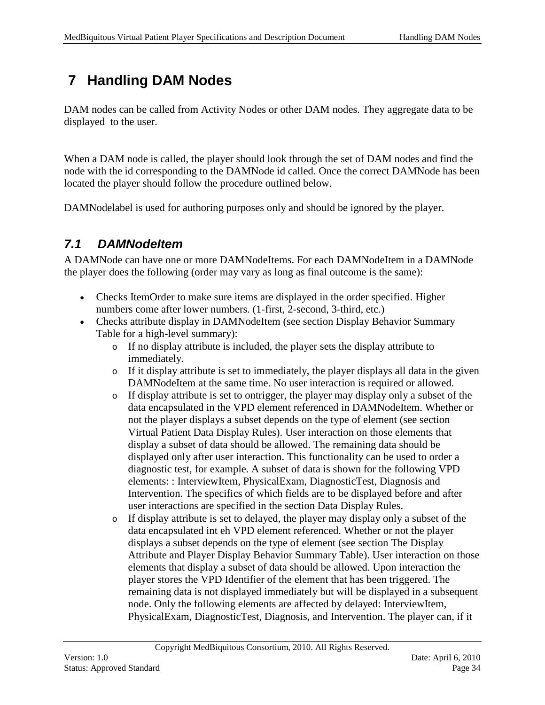# <span id="page-33-0"></span>**7 Handling DAM Nodes**

DAM nodes can be called from Activity Nodes or other DAM nodes. They aggregate data to be displayed to the user.

When a DAM node is called, the player should look through the set of DAM nodes and find the node with the id corresponding to the DAMNode id called. Once the correct DAMNode has been located the player should follow the procedure outlined below.

DAMNodelabel is used for authoring purposes only and should be ignored by the player.

## <span id="page-33-1"></span>*7.1 DAMNodeItem*

A DAMNode can have one or more DAMNodeItems. For each DAMNodeItem in a DAMNode the player does the following (order may vary as long as final outcome is the same):

- Checks ItemOrder to make sure items are displayed in the order specified. Higher numbers come after lower numbers. (1-first, 2-second, 3-third, etc.)
- Checks attribute display in DAMNodeItem (see section Display Behavior Summary Table for a high-level summary):
	- o If no display attribute is included, the player sets the display attribute to immediately.
	- $\circ$  If it display attribute is set to immediately, the player displays all data in the given DAMNodeItem at the same time. No user interaction is required or allowed.
	- o If display attribute is set to ontrigger, the player may display only a subset of the data encapsulated in the VPD element referenced in DAMNodeItem. Whether or not the player displays a subset depends on the type of element (see section Virtual Patient Data Display Rules). User interaction on those elements that display a subset of data should be allowed. The remaining data should be displayed only after user interaction. This functionality can be used to order a diagnostic test, for example. A subset of data is shown for the following VPD elements: : InterviewItem, PhysicalExam, DiagnosticTest, Diagnosis and Intervention. The specifics of which fields are to be displayed before and after user interactions are specified in the section Data Display Rules.
	- o If display attribute is set to delayed, the player may display only a subset of the data encapsulated int eh VPD element referenced. Whether or not the player displays a subset depends on the type of element (see section The Display Attribute and Player Display Behavior Summary Table). User interaction on those elements that display a subset of data should be allowed. Upon interaction the player stores the VPD Identifier of the element that has been triggered. The remaining data is not displayed immediately but will be displayed in a subsequent node. Only the following elements are affected by delayed: InterviewItem, PhysicalExam, DiagnosticTest, Diagnosis, and Intervention. The player can, if it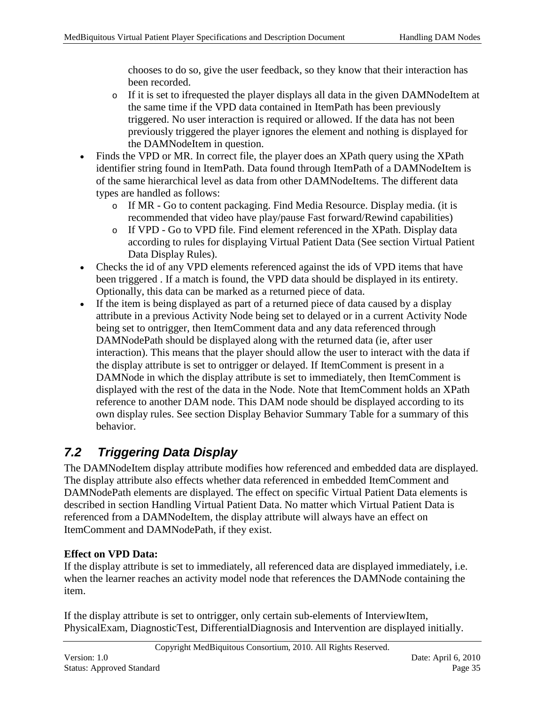chooses to do so, give the user feedback, so they know that their interaction has been recorded.

- o If it is set to ifrequested the player displays all data in the given DAMNodeItem at the same time if the VPD data contained in ItemPath has been previously triggered. No user interaction is required or allowed. If the data has not been previously triggered the player ignores the element and nothing is displayed for the DAMNodeItem in question.
- Finds the VPD or MR. In correct file, the player does an XPath query using the XPath identifier string found in ItemPath. Data found through ItemPath of a DAMNodeItem is of the same hierarchical level as data from other DAMNodeItems. The different data types are handled as follows:
	- o If MR Go to content packaging. Find Media Resource. Display media. (it is recommended that video have play/pause Fast forward/Rewind capabilities)
	- o If VPD Go to VPD file. Find element referenced in the XPath. Display data according to rules for displaying Virtual Patient Data (See section Virtual Patient Data Display Rules).
- Checks the id of any VPD elements referenced against the ids of VPD items that have been triggered . If a match is found, the VPD data should be displayed in its entirety. Optionally, this data can be marked as a returned piece of data.
- If the item is being displayed as part of a returned piece of data caused by a display attribute in a previous Activity Node being set to delayed or in a current Activity Node being set to ontrigger, then ItemComment data and any data referenced through DAMNodePath should be displayed along with the returned data (ie, after user interaction). This means that the player should allow the user to interact with the data if the display attribute is set to ontrigger or delayed. If ItemComment is present in a DAMNode in which the display attribute is set to immediately, then ItemComment is displayed with the rest of the data in the Node. Note that ItemComment holds an XPath reference to another DAM node. This DAM node should be displayed according to its own display rules. See section Display Behavior Summary Table for a summary of this behavior.

# <span id="page-34-0"></span>*7.2 Triggering Data Display*

The DAMNodeItem display attribute modifies how referenced and embedded data are displayed. The display attribute also effects whether data referenced in embedded ItemComment and DAMNodePath elements are displayed. The effect on specific Virtual Patient Data elements is described in section Handling Virtual Patient Data. No matter which Virtual Patient Data is referenced from a DAMNodeItem, the display attribute will always have an effect on ItemComment and DAMNodePath, if they exist.

#### **Effect on VPD Data:**

If the display attribute is set to immediately, all referenced data are displayed immediately, i.e. when the learner reaches an activity model node that references the DAMNode containing the item.

If the display attribute is set to ontrigger, only certain sub-elements of InterviewItem, PhysicalExam, DiagnosticTest, DifferentialDiagnosis and Intervention are displayed initially.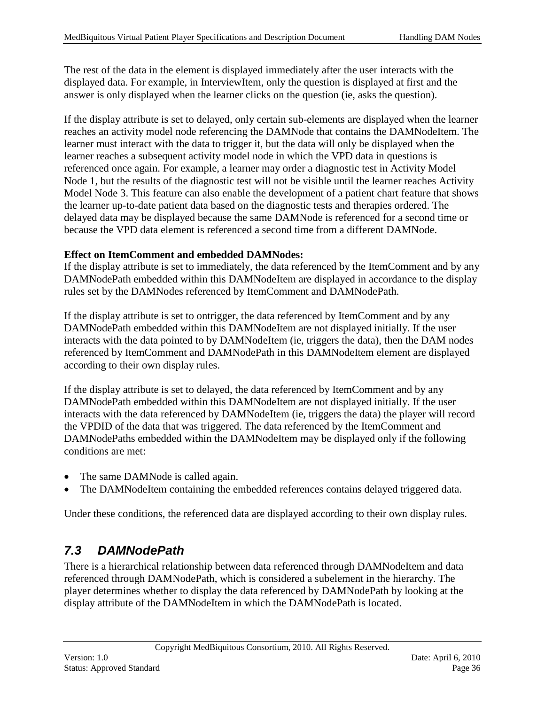The rest of the data in the element is displayed immediately after the user interacts with the displayed data. For example, in InterviewItem, only the question is displayed at first and the answer is only displayed when the learner clicks on the question (ie, asks the question).

If the display attribute is set to delayed, only certain sub-elements are displayed when the learner reaches an activity model node referencing the DAMNode that contains the DAMNodeItem. The learner must interact with the data to trigger it, but the data will only be displayed when the learner reaches a subsequent activity model node in which the VPD data in questions is referenced once again. For example, a learner may order a diagnostic test in Activity Model Node 1, but the results of the diagnostic test will not be visible until the learner reaches Activity Model Node 3. This feature can also enable the development of a patient chart feature that shows the learner up-to-date patient data based on the diagnostic tests and therapies ordered. The delayed data may be displayed because the same DAMNode is referenced for a second time or because the VPD data element is referenced a second time from a different DAMNode.

#### **Effect on ItemComment and embedded DAMNodes:**

If the display attribute is set to immediately, the data referenced by the ItemComment and by any DAMNodePath embedded within this DAMNodeItem are displayed in accordance to the display rules set by the DAMNodes referenced by ItemComment and DAMNodePath.

If the display attribute is set to ontrigger, the data referenced by ItemComment and by any DAMNodePath embedded within this DAMNodeItem are not displayed initially. If the user interacts with the data pointed to by DAMNodeItem (ie, triggers the data), then the DAM nodes referenced by ItemComment and DAMNodePath in this DAMNodeItem element are displayed according to their own display rules.

If the display attribute is set to delayed, the data referenced by ItemComment and by any DAMNodePath embedded within this DAMNodeItem are not displayed initially. If the user interacts with the data referenced by DAMNodeItem (ie, triggers the data) the player will record the VPDID of the data that was triggered. The data referenced by the ItemComment and DAMNodePaths embedded within the DAMNodeItem may be displayed only if the following conditions are met:

- The same DAMNode is called again.
- The DAMNodeItem containing the embedded references contains delayed triggered data.

Under these conditions, the referenced data are displayed according to their own display rules.

#### <span id="page-35-0"></span>*7.3 DAMNodePath*

There is a hierarchical relationship between data referenced through DAMNodeItem and data referenced through DAMNodePath, which is considered a subelement in the hierarchy. The player determines whether to display the data referenced by DAMNodePath by looking at the display attribute of the DAMNodeItem in which the DAMNodePath is located.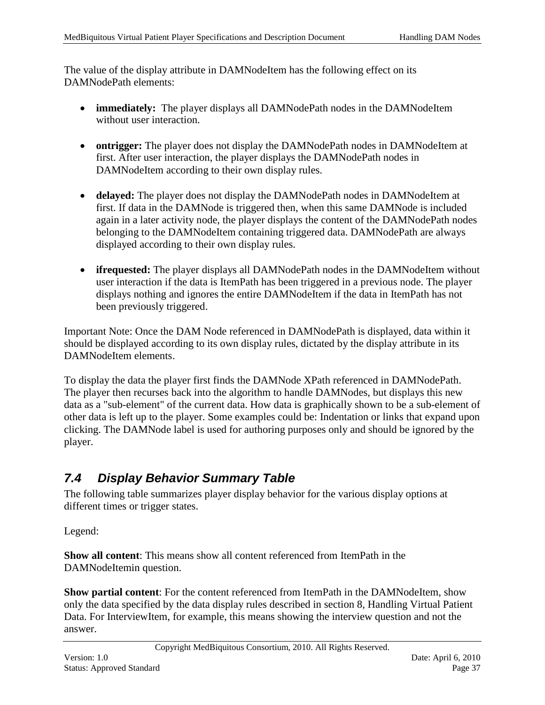The value of the display attribute in DAMNodeItem has the following effect on its DAMNodePath elements:

- **immediately:** The player displays all DAMNodePath nodes in the DAMNodeItem without user interaction.
- **ontrigger:** The player does not display the DAMNodePath nodes in DAMNodeItem at first. After user interaction, the player displays the DAMNodePath nodes in DAMNodeItem according to their own display rules.
- **delayed:** The player does not display the DAMNodePath nodes in DAMNodeItem at first. If data in the DAMNode is triggered then, when this same DAMNode is included again in a later activity node, the player displays the content of the DAMNodePath nodes belonging to the DAMNodeItem containing triggered data. DAMNodePath are always displayed according to their own display rules.
- **ifrequested:** The player displays all DAMNodePath nodes in the DAMNodeItem without user interaction if the data is ItemPath has been triggered in a previous node. The player displays nothing and ignores the entire DAMNodeItem if the data in ItemPath has not been previously triggered.

Important Note: Once the DAM Node referenced in DAMNodePath is displayed, data within it should be displayed according to its own display rules, dictated by the display attribute in its DAMNodeItem elements.

To display the data the player first finds the DAMNode XPath referenced in DAMNodePath. The player then recurses back into the algorithm to handle DAMNodes, but displays this new data as a "sub-element" of the current data. How data is graphically shown to be a sub-element of other data is left up to the player. Some examples could be: Indentation or links that expand upon clicking. The DAMNode label is used for authoring purposes only and should be ignored by the player.

#### <span id="page-36-0"></span>*7.4 Display Behavior Summary Table*

The following table summarizes player display behavior for the various display options at different times or trigger states.

Legend:

**Show all content**: This means show all content referenced from ItemPath in the DAMNodeItemin question.

**Show partial content**: For the content referenced from ItemPath in the DAMNodeItem, show only the data specified by the data display rules described in section 8, Handling Virtual Patient Data. For InterviewItem, for example, this means showing the interview question and not the answer.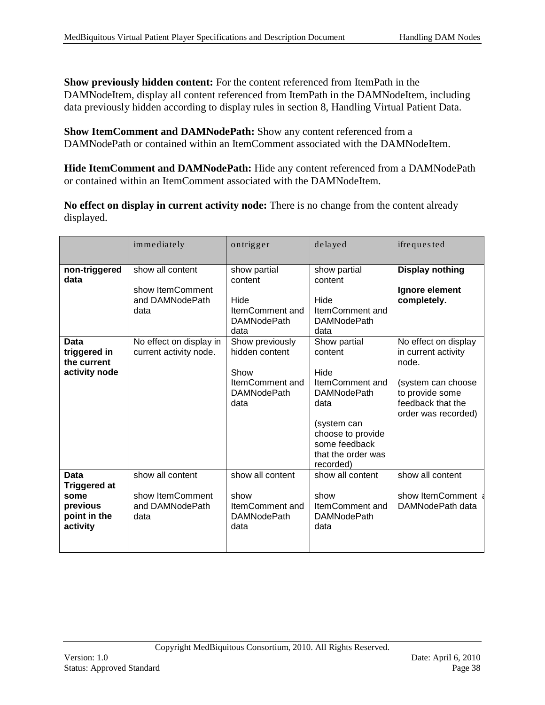**Show previously hidden content:** For the content referenced from ItemPath in the DAMNodeItem, display all content referenced from ItemPath in the DAMNodeItem, including data previously hidden according to display rules in section 8, Handling Virtual Patient Data.

**Show ItemComment and DAMNodePath:** Show any content referenced from a DAMNodePath or contained within an ItemComment associated with the DAMNodeItem.

**Hide ItemComment and DAMNodePath:** Hide any content referenced from a DAMNodePath or contained within an ItemComment associated with the DAMNodeItem.

**No effect on display in current activity node:** There is no change from the content already displayed.

|                                                                             | immediately                                                     | ontrigger                                                                                          | delayed                                                                                                                                                                          | ifrequested                                                                                                                               |
|-----------------------------------------------------------------------------|-----------------------------------------------------------------|----------------------------------------------------------------------------------------------------|----------------------------------------------------------------------------------------------------------------------------------------------------------------------------------|-------------------------------------------------------------------------------------------------------------------------------------------|
| non-triggered<br>data                                                       | show all content<br>show ItemComment<br>and DAMNodePath<br>data | show partial<br>content<br>Hide<br>ItemComment and<br><b>DAMNodePath</b>                           | show partial<br>content<br>Hide<br>ItemComment and<br><b>DAMNodePath</b>                                                                                                         | <b>Display nothing</b><br>Ignore element<br>completely.                                                                                   |
| Data<br>triggered in<br>the current<br>activity node                        | No effect on display in<br>current activity node.               | data<br>Show previously<br>hidden content<br>Show<br>ItemComment and<br><b>DAMNodePath</b><br>data | data<br>Show partial<br>content<br>Hide<br>ItemComment and<br><b>DAMNodePath</b><br>data<br>(system can<br>choose to provide<br>some feedback<br>that the order was<br>recorded) | No effect on display<br>in current activity<br>node.<br>(system can choose<br>to provide some<br>feedback that the<br>order was recorded) |
| Data<br><b>Triggered at</b><br>some<br>previous<br>point in the<br>activity | show all content<br>show ItemComment<br>and DAMNodePath<br>data | show all content<br>show<br>ItemComment and<br><b>DAMNodePath</b><br>data                          | show all content<br>show<br>ItemComment and<br><b>DAMNodePath</b><br>data                                                                                                        | show all content<br>show ItemComment<br>DAMNodePath data                                                                                  |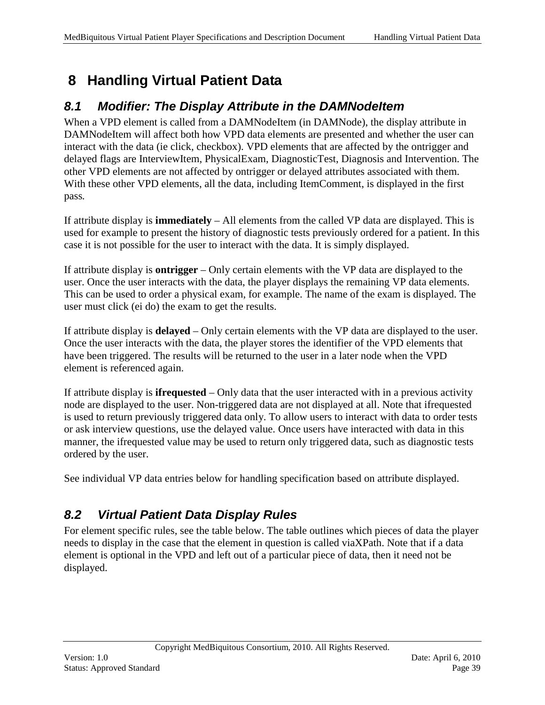# <span id="page-38-3"></span><span id="page-38-0"></span>**8 Handling Virtual Patient Data**

### <span id="page-38-1"></span>*8.1 Modifier: The Display Attribute in the DAMNodeItem*

When a VPD element is called from a DAMNodeItem (in DAMNode), the display attribute in DAMNodeItem will affect both how VPD data elements are presented and whether the user can interact with the data (ie click, checkbox). VPD elements that are affected by the ontrigger and delayed flags are InterviewItem, PhysicalExam, DiagnosticTest, Diagnosis and Intervention. The other VPD elements are not affected by ontrigger or delayed attributes associated with them. With these other VPD elements, all the data, including ItemComment, is displayed in the first pass*.* 

If attribute display is **immediately** – All elements from the called VP data are displayed. This is used for example to present the history of diagnostic tests previously ordered for a patient. In this case it is not possible for the user to interact with the data. It is simply displayed.

If attribute display is **ontrigger** – Only certain elements with the VP data are displayed to the user. Once the user interacts with the data, the player displays the remaining VP data elements. This can be used to order a physical exam, for example. The name of the exam is displayed. The user must click (ei do) the exam to get the results.

If attribute display is **delayed** – Only certain elements with the VP data are displayed to the user. Once the user interacts with the data, the player stores the identifier of the VPD elements that have been triggered. The results will be returned to the user in a later node when the VPD element is referenced again.

If attribute display is **ifrequested** – Only data that the user interacted with in a previous activity node are displayed to the user. Non-triggered data are not displayed at all. Note that ifrequested is used to return previously triggered data only. To allow users to interact with data to order tests or ask interview questions, use the delayed value. Once users have interacted with data in this manner, the ifrequested value may be used to return only triggered data, such as diagnostic tests ordered by the user.

See individual VP data entries below for handling specification based on attribute displayed.

## <span id="page-38-2"></span>*8.2 Virtual Patient Data Display Rules*

For element specific rules, see the table below. The table outlines which pieces of data the player needs to display in the case that the element in question is called viaXPath. Note that if a data element is optional in the VPD and left out of a particular piece of data, then it need not be displayed.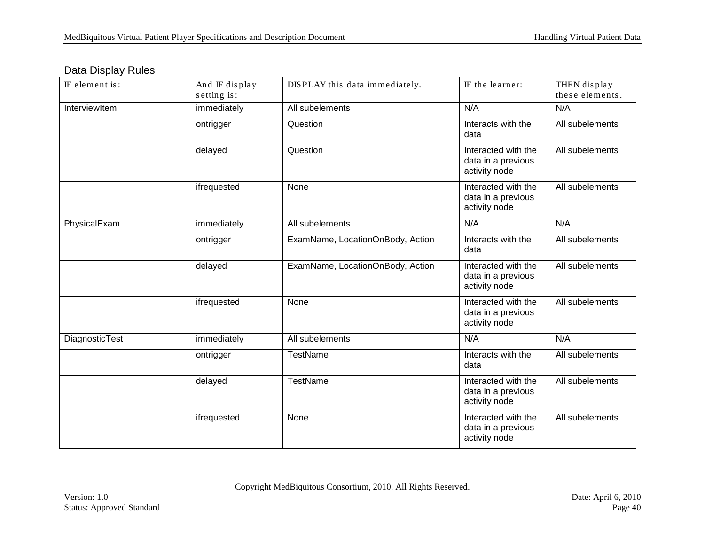|  | Data Display Rules |
|--|--------------------|
|--|--------------------|

| IF element is: | And IF display<br>setting is: | DISPLAY this data immediately.   | IF the learner:                                            | THEN display<br>these elements. |
|----------------|-------------------------------|----------------------------------|------------------------------------------------------------|---------------------------------|
| InterviewItem  | immediately                   | All subelements                  | N/A                                                        | N/A                             |
|                | ontrigger                     | Question                         | Interacts with the<br>data                                 | All subelements                 |
|                | delayed                       | Question                         | Interacted with the<br>data in a previous<br>activity node | All subelements                 |
|                | ifrequested                   | None                             | Interacted with the<br>data in a previous<br>activity node | All subelements                 |
| PhysicalExam   | immediately                   | All subelements                  | N/A                                                        | N/A                             |
|                | ontrigger                     | ExamName, LocationOnBody, Action | Interacts with the<br>data                                 | All subelements                 |
|                | delayed                       | ExamName, LocationOnBody, Action | Interacted with the<br>data in a previous<br>activity node | All subelements                 |
|                | ifrequested                   | None                             | Interacted with the<br>data in a previous<br>activity node | All subelements                 |
| DiagnosticTest | immediately                   | All subelements                  | N/A                                                        | N/A                             |
|                | ontrigger                     | <b>TestName</b>                  | Interacts with the<br>data                                 | All subelements                 |
|                | delayed                       | TestName                         | Interacted with the<br>data in a previous<br>activity node | All subelements                 |
|                | ifrequested                   | None                             | Interacted with the<br>data in a previous<br>activity node | All subelements                 |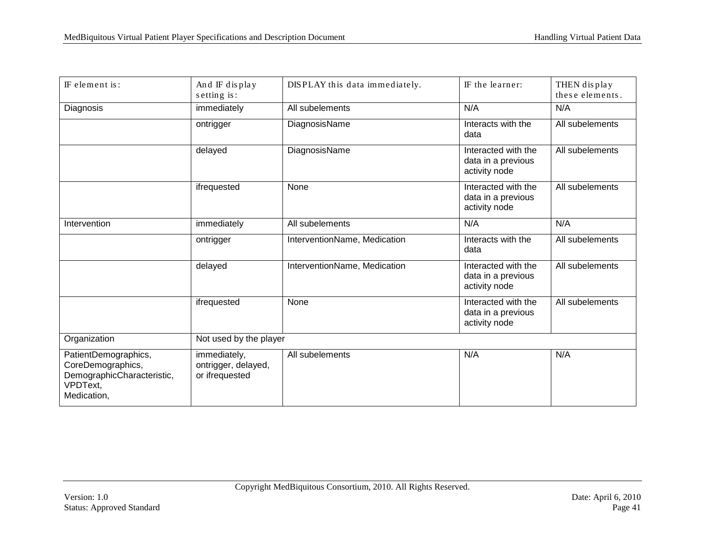| IF element is:                                                                                     | And IF display<br>$s$ etting is:                      | DISPLAY this data immediately. | IF the learner:                                            | THEN display<br>these elements. |
|----------------------------------------------------------------------------------------------------|-------------------------------------------------------|--------------------------------|------------------------------------------------------------|---------------------------------|
| Diagnosis                                                                                          | immediately                                           | All subelements                | N/A                                                        | N/A                             |
|                                                                                                    | ontrigger                                             | DiagnosisName                  | Interacts with the<br>data                                 | All subelements                 |
|                                                                                                    | delayed                                               | DiagnosisName                  | Interacted with the<br>data in a previous<br>activity node | All subelements                 |
|                                                                                                    | ifrequested                                           | None                           | Interacted with the<br>data in a previous<br>activity node | All subelements                 |
| Intervention                                                                                       | immediately                                           | All subelements                | N/A                                                        | N/A                             |
|                                                                                                    | ontrigger                                             | InterventionName, Medication   | Interacts with the<br>data                                 | All subelements                 |
|                                                                                                    | delayed                                               | InterventionName, Medication   | Interacted with the<br>data in a previous<br>activity node | All subelements                 |
|                                                                                                    | ifrequested                                           | None                           | Interacted with the<br>data in a previous<br>activity node | All subelements                 |
| Organization                                                                                       | Not used by the player                                |                                |                                                            |                                 |
| PatientDemographics,<br>CoreDemographics,<br>DemographicCharacteristic,<br>VPDText,<br>Medication, | immediately,<br>ontrigger, delayed,<br>or ifrequested | All subelements                | N/A                                                        | N/A                             |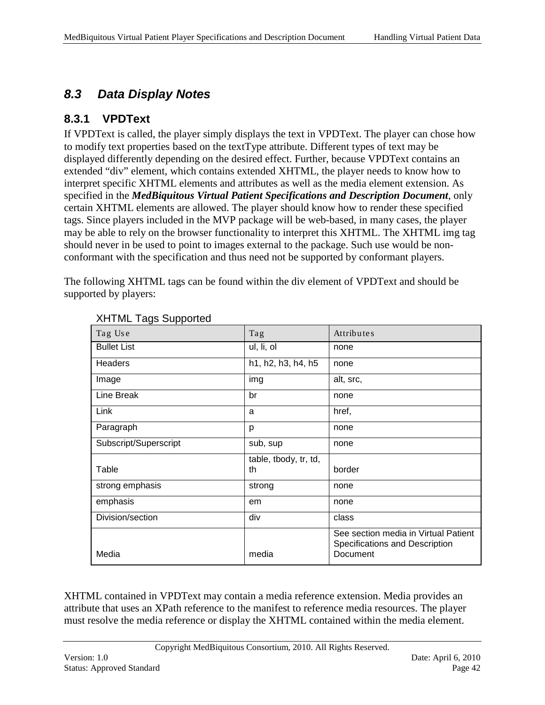# <span id="page-41-0"></span>*8.3 Data Display Notes*

#### <span id="page-41-1"></span>**8.3.1 VPDText**

If VPDText is called, the player simply displays the text in VPDText. The player can chose how to modify text properties based on the textType attribute. Different types of text may be displayed differently depending on the desired effect. Further, because VPDText contains an extended "div" element, which contains extended XHTML, the player needs to know how to interpret specific XHTML elements and attributes as well as the media element extension. As specified in the *MedBiquitous Virtual Patient Specifications and Description Document*, only certain XHTML elements are allowed. The player should know how to render these specified tags. Since players included in the MVP package will be web-based, in many cases, the player may be able to rely on the browser functionality to interpret this XHTML. The XHTML img tag should never in be used to point to images external to the package. Such use would be nonconformant with the specification and thus need not be supported by conformant players.

The following XHTML tags can be found within the div element of VPDText and should be supported by players:

| $\sim$                |                       |                                                                                    |
|-----------------------|-----------------------|------------------------------------------------------------------------------------|
| Tag Use               | Tag                   | Attributes                                                                         |
| <b>Bullet List</b>    | ul, li, ol            | none                                                                               |
| Headers               | h1, h2, h3, h4, h5    | none                                                                               |
| Image                 | img                   | alt, src,                                                                          |
| Line Break            | br                    | none                                                                               |
| Link                  | a                     | href,                                                                              |
| Paragraph             | p                     | none                                                                               |
| Subscript/Superscript | sub, sup              | none                                                                               |
|                       | table, tbody, tr, td, |                                                                                    |
| Table                 | th                    | border                                                                             |
| strong emphasis       | strong                | none                                                                               |
| emphasis              | em                    | none                                                                               |
| Division/section      | div                   | class                                                                              |
| Media                 | media                 | See section media in Virtual Patient<br>Specifications and Description<br>Document |

XHTML Tags Supported

XHTML contained in VPDText may contain a media reference extension. Media provides an attribute that uses an XPath reference to the manifest to reference media resources. The player must resolve the media reference or display the XHTML contained within the media element.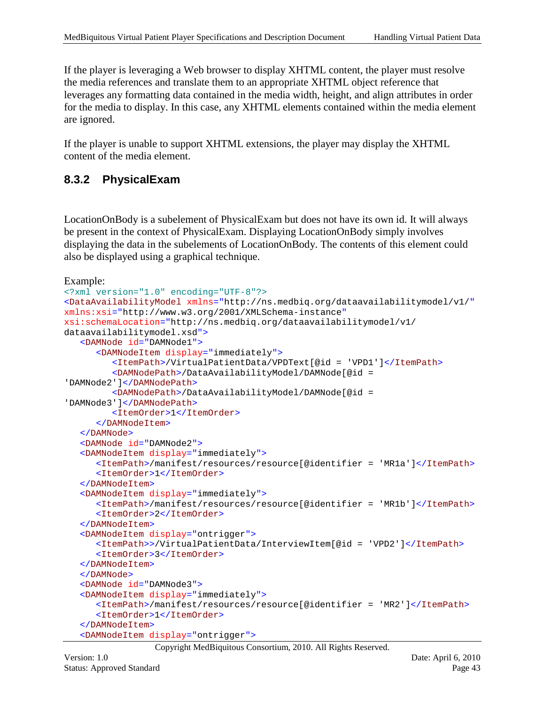If the player is leveraging a Web browser to display XHTML content, the player must resolve the media references and translate them to an appropriate XHTML object reference that leverages any formatting data contained in the media width, height, and align attributes in order for the media to display. In this case, any XHTML elements contained within the media element are ignored.

If the player is unable to support XHTML extensions, the player may display the XHTML content of the media element.

#### <span id="page-42-0"></span>**8.3.2 PhysicalExam**

LocationOnBody is a subelement of PhysicalExam but does not have its own id. It will always be present in the context of PhysicalExam. Displaying LocationOnBody simply involves displaying the data in the subelements of LocationOnBody. The contents of this element could also be displayed using a graphical technique.

Example:

```
<?xml version="1.0" encoding="UTF-8"?>
<DataAvailabilityModel xmlns="http://ns.medbiq.org/dataavailabilitymodel/v1/"
xmlns:xsi="http://www.w3.org/2001/XMLSchema-instance"
xsi:schemaLocation="http://ns.medbiq.org/dataavailabilitymodel/v1/ 
dataavailabilitymodel.xsd">
   <DAMNode id="DAMNode1">
       <DAMNodeItem display="immediately">
         <ItemPath>/VirtualPatientData/VPDText[@id = 'VPD1']</ItemPath>
         <DAMNodePath>/DataAvailabilityModel/DAMNode[@id = 
'DAMNode2']</DAMNodePath>
         <DAMNodePath>/DataAvailabilityModel/DAMNode[@id = 
'DAMNode3']</DAMNodePath>
         <ItemOrder>1</ItemOrder>
      </DAMNodeItem>
   </DAMNode>
   <DAMNode id="DAMNode2">
   <DAMNodeItem display="immediately">
      <ItemPath>/manifest/resources/resource[@identifier = 'MR1a']</ItemPath>
      <ItemOrder>1</ItemOrder>
   </DAMNodeItem>
   <DAMNodeItem display="immediately">
      <ItemPath>/manifest/resources/resource[@identifier = 'MR1b']</ItemPath>
      <ItemOrder>2</ItemOrder>
   </DAMNodeItem>
   <DAMNodeItem display="ontrigger">
      <ItemPath>>/VirtualPatientData/InterviewItem[@id = 'VPD2']</ItemPath>
      <ItemOrder>3</ItemOrder>
   </DAMNodeItem>
   </DAMNode>
   <DAMNode id="DAMNode3">
   <DAMNodeItem display="immediately">
      <ItemPath>/manifest/resources/resource[@identifier = 'MR2']</ItemPath>
      <ItemOrder>1</ItemOrder>
   </DAMNodeItem>
   <DAMNodeItem display="ontrigger">
```
Copyright MedBiquitous Consortium, 2010. All Rights Reserved.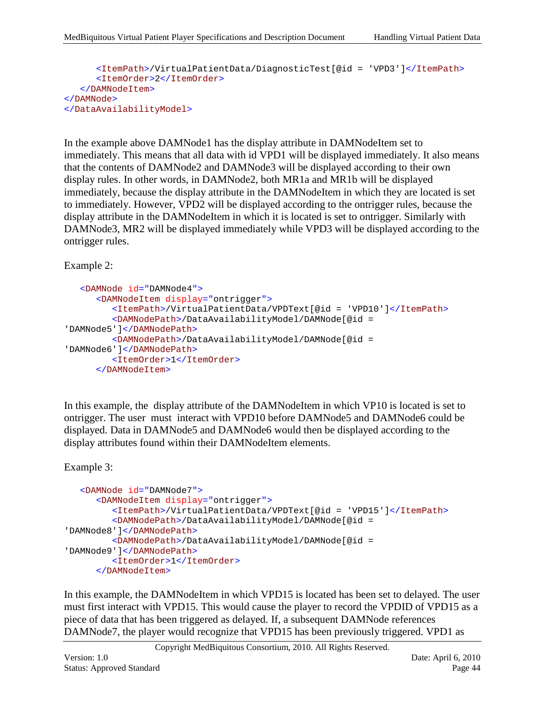```
<ItemPath>/VirtualPatientData/DiagnosticTest[@id = 'VPD3']</ItemPath>
      <ItemOrder>2</ItemOrder>
   </DAMNodeItem>
</DAMNode>
</DataAvailabilityModel>
```
In the example above DAMNode1 has the display attribute in DAMNodeItem set to immediately. This means that all data with id VPD1 will be displayed immediately. It also means that the contents of DAMNode2 and DAMNode3 will be displayed according to their own display rules. In other words, in DAMNode2, both MR1a and MR1b will be displayed immediately, because the display attribute in the DAMNodeItem in which they are located is set to immediately. However, VPD2 will be displayed according to the ontrigger rules, because the display attribute in the DAMNodeItem in which it is located is set to ontrigger. Similarly with DAMNode3, MR2 will be displayed immediately while VPD3 will be displayed according to the ontrigger rules.

Example 2:

```
<DAMNode id="DAMNode4">
      <DAMNodeItem display="ontrigger">
         <ItemPath>/VirtualPatientData/VPDText[@id = 'VPD10']</ItemPath>
         <DAMNodePath>/DataAvailabilityModel/DAMNode[@id = 
'DAMNode5']</DAMNodePath>
        <DAMNodePath>/DataAvailabilityModel/DAMNode[@id = 
'DAMNode6']</DAMNodePath>
        <ItemOrder>1</ItemOrder>
     </DAMNodeItem>
```
In this example, the display attribute of the DAMNodeItem in which VP10 is located is set to ontrigger. The user must interact with VPD10 before DAMNode5 and DAMNode6 could be displayed. Data in DAMNode5 and DAMNode6 would then be displayed according to the display attributes found within their DAMNodeItem elements.

Example 3:

```
<DAMNode id="DAMNode7">
      <DAMNodeItem display="ontrigger">
         <ItemPath>/VirtualPatientData/VPDText[@id = 'VPD15']</ItemPath>
        <DAMNodePath>/DataAvailabilityModel/DAMNode[@id = 
'DAMNode8']</DAMNodePath>
         <DAMNodePath>/DataAvailabilityModel/DAMNode[@id = 
'DAMNode9']</DAMNodePath>
        <ItemOrder>1</ItemOrder>
     </DAMNodeItem>
```
In this example, the DAMNodeItem in which VPD15 is located has been set to delayed. The user must first interact with VPD15. This would cause the player to record the VPDID of VPD15 as a piece of data that has been triggered as delayed. If, a subsequent DAMNode references DAMNode7, the player would recognize that VPD15 has been previously triggered. VPD1 as

Copyright MedBiquitous Consortium, 2010. All Rights Reserved.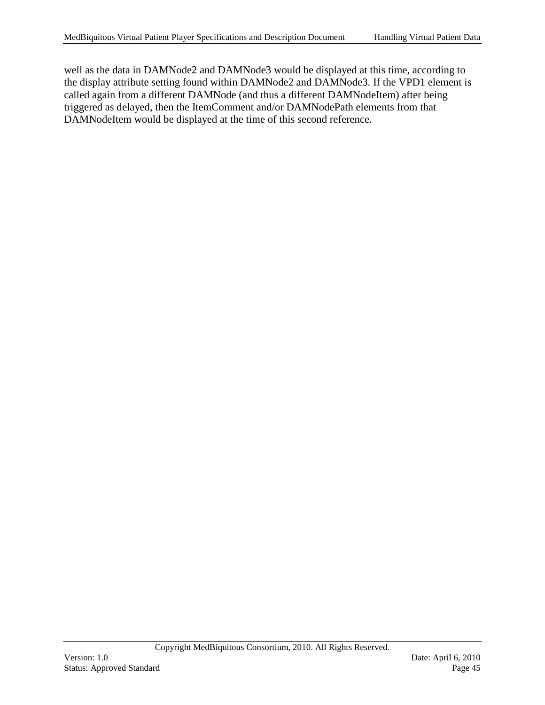well as the data in DAMNode2 and DAMNode3 would be displayed at this time, according to the display attribute setting found within DAMNode2 and DAMNode3. If the VPD1 element is called again from a different DAMNode (and thus a different DAMNodeItem) after being triggered as delayed, then the ItemComment and/or DAMNodePath elements from that DAMNodeItem would be displayed at the time of this second reference.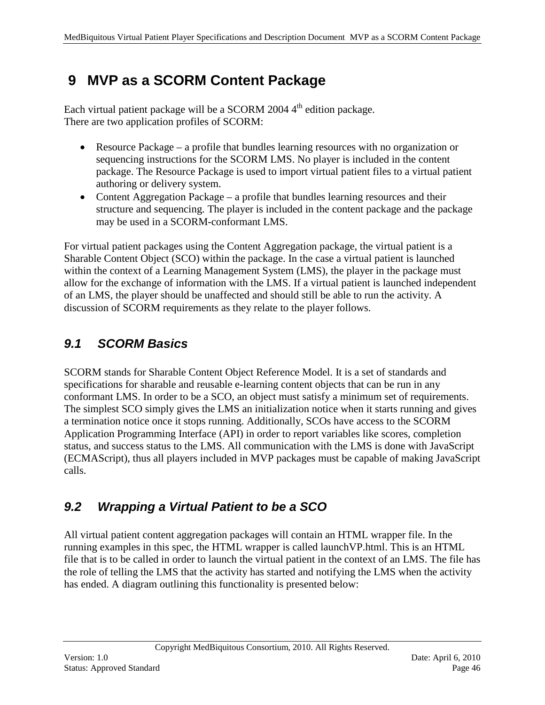# <span id="page-45-0"></span>**9 MVP as a SCORM Content Package**

Each virtual patient package will be a SCORM 2004 4<sup>th</sup> edition package. There are two application profiles of SCORM:

- Resource Package a profile that bundles learning resources with no organization or sequencing instructions for the SCORM LMS. No player is included in the content package. The Resource Package is used to import virtual patient files to a virtual patient authoring or delivery system.
- Content Aggregation Package a profile that bundles learning resources and their structure and sequencing. The player is included in the content package and the package may be used in a SCORM-conformant LMS.

For virtual patient packages using the Content Aggregation package, the virtual patient is a Sharable Content Object (SCO) within the package. In the case a virtual patient is launched within the context of a Learning Management System (LMS), the player in the package must allow for the exchange of information with the LMS. If a virtual patient is launched independent of an LMS, the player should be unaffected and should still be able to run the activity. A discussion of SCORM requirements as they relate to the player follows.

## <span id="page-45-1"></span>*9.1 SCORM Basics*

SCORM stands for Sharable Content Object Reference Model. It is a set of standards and specifications for sharable and reusable e-learning content objects that can be run in any conformant LMS. In order to be a SCO, an object must satisfy a minimum set of requirements. The simplest SCO simply gives the LMS an initialization notice when it starts running and gives a termination notice once it stops running. Additionally, SCOs have access to the SCORM Application Programming Interface (API) in order to report variables like scores, completion status, and success status to the LMS. All communication with the LMS is done with JavaScript (ECMAScript), thus all players included in MVP packages must be capable of making JavaScript calls.

## <span id="page-45-2"></span>*9.2 Wrapping a Virtual Patient to be a SCO*

All virtual patient content aggregation packages will contain an HTML wrapper file. In the running examples in this spec, the HTML wrapper is called launchVP.html. This is an HTML file that is to be called in order to launch the virtual patient in the context of an LMS. The file has the role of telling the LMS that the activity has started and notifying the LMS when the activity has ended. A diagram outlining this functionality is presented below: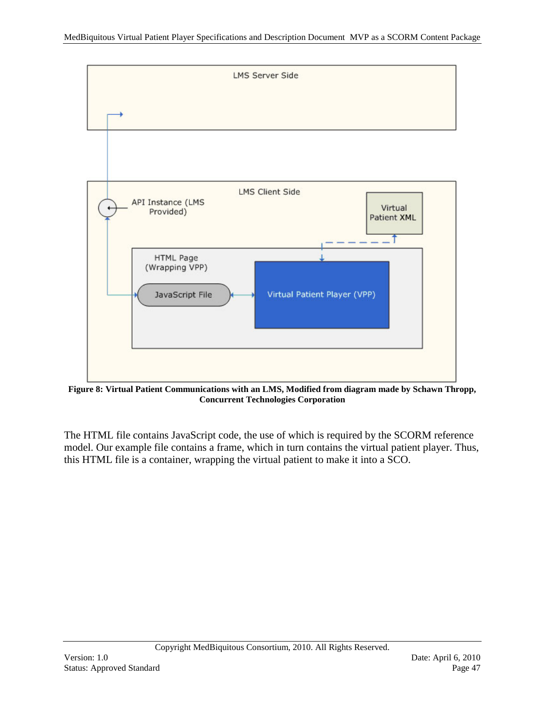

**Figure 8: Virtual Patient Communications with an LMS, Modified from diagram made by Schawn Thropp, Concurrent Technologies Corporation**

The HTML file contains JavaScript code, the use of which is required by the SCORM reference model. Our example file contains a frame, which in turn contains the virtual patient player. Thus, this HTML file is a container, wrapping the virtual patient to make it into a SCO.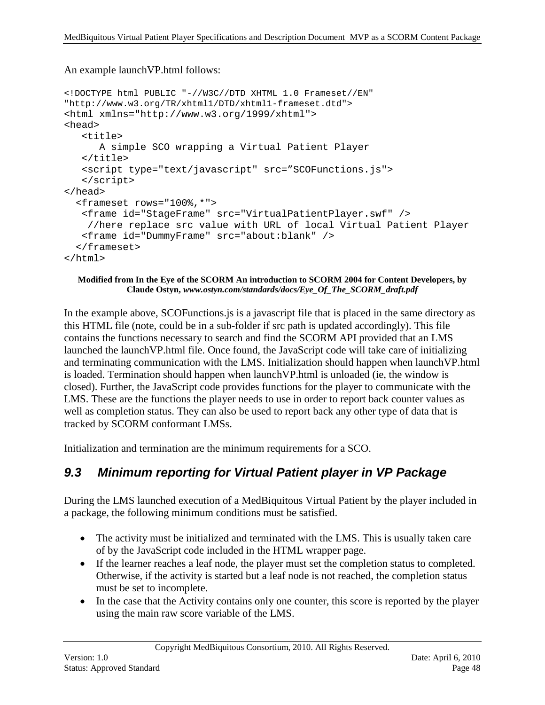An example launchVP.html follows:

```
<!DOCTYPE html PUBLIC "-//W3C//DTD XHTML 1.0 Frameset//EN" 
"http://www.w3.org/TR/xhtml1/DTD/xhtml1-frameset.dtd">
<html xmlns="http://www.w3.org/1999/xhtml">
<head>
    <title>
       A simple SCO wrapping a Virtual Patient Player
   \langletitle>
    <script type="text/javascript" src="SCOFunctions.js"> 
    </script>
</head>
   <frameset rows="100%,*">
    <frame id="StageFrame" src="VirtualPatientPlayer.swf" /> 
     //here replace src value with URL of local Virtual Patient Player
    <frame id="DummyFrame" src="about:blank" />
   </frameset>
</html>
```
#### **Modified from In the Eye of the SCORM An introduction to SCORM 2004 for Content Developers, by Claude Ostyn,** *www.ostyn.com/standards/docs/Eye\_Of\_The\_SCORM\_draft.pdf*

In the example above, SCOFunctions.js is a javascript file that is placed in the same directory as this HTML file (note, could be in a sub-folder if src path is updated accordingly). This file contains the functions necessary to search and find the SCORM API provided that an LMS launched the launchVP.html file. Once found, the JavaScript code will take care of initializing and terminating communication with the LMS. Initialization should happen when launchVP.html is loaded. Termination should happen when launchVP.html is unloaded (ie, the window is closed). Further, the JavaScript code provides functions for the player to communicate with the LMS. These are the functions the player needs to use in order to report back counter values as well as completion status. They can also be used to report back any other type of data that is tracked by SCORM conformant LMSs.

Initialization and termination are the minimum requirements for a SCO.

#### <span id="page-47-0"></span>*9.3 Minimum reporting for Virtual Patient player in VP Package*

During the LMS launched execution of a MedBiquitous Virtual Patient by the player included in a package, the following minimum conditions must be satisfied.

- The activity must be initialized and terminated with the LMS. This is usually taken care of by the JavaScript code included in the HTML wrapper page.
- If the learner reaches a leaf node, the player must set the completion status to completed. Otherwise, if the activity is started but a leaf node is not reached, the completion status must be set to incomplete.
- In the case that the Activity contains only one counter, this score is reported by the player using the main raw score variable of the LMS.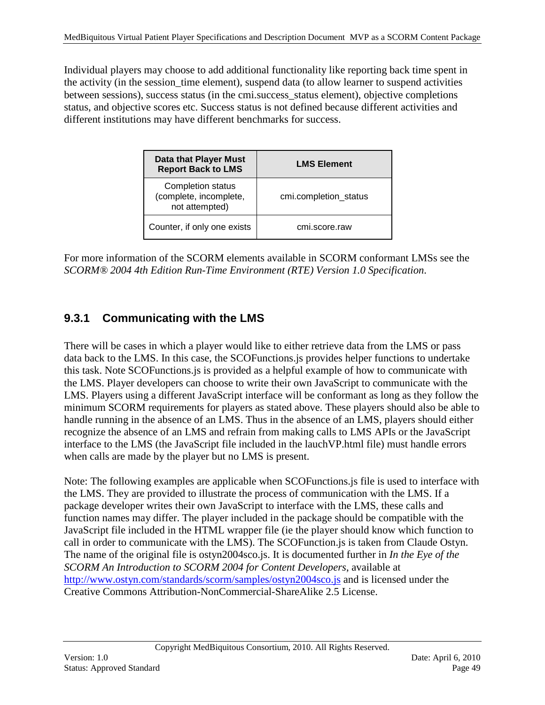Individual players may choose to add additional functionality like reporting back time spent in the activity (in the session\_time element), suspend data (to allow learner to suspend activities between sessions), success status (in the cmi.success status element), objective completions status, and objective scores etc. Success status is not defined because different activities and different institutions may have different benchmarks for success.

| <b>Data that Player Must</b><br><b>Report Back to LMS</b>            | <b>LMS Element</b>    |  |
|----------------------------------------------------------------------|-----------------------|--|
| <b>Completion status</b><br>(complete, incomplete,<br>not attempted) | cmi.completion_status |  |
| Counter, if only one exists                                          | cmi.score.raw         |  |

For more information of the SCORM elements available in SCORM conformant LMSs see the *SCORM® 2004 4th Edition Run-Time Environment (RTE) Version 1.0 Specification*.

### <span id="page-48-0"></span>**9.3.1 Communicating with the LMS**

There will be cases in which a player would like to either retrieve data from the LMS or pass data back to the LMS. In this case, the SCOFunctions.js provides helper functions to undertake this task. Note SCOFunctions.js is provided as a helpful example of how to communicate with the LMS. Player developers can choose to write their own JavaScript to communicate with the LMS. Players using a different JavaScript interface will be conformant as long as they follow the minimum SCORM requirements for players as stated above. These players should also be able to handle running in the absence of an LMS. Thus in the absence of an LMS, players should either recognize the absence of an LMS and refrain from making calls to LMS APIs or the JavaScript interface to the LMS (the JavaScript file included in the lauchVP.html file) must handle errors when calls are made by the player but no LMS is present.

Note: The following examples are applicable when SCOFunctions.js file is used to interface with the LMS. They are provided to illustrate the process of communication with the LMS. If a package developer writes their own JavaScript to interface with the LMS, these calls and function names may differ. The player included in the package should be compatible with the JavaScript file included in the HTML wrapper file (ie the player should know which function to call in order to communicate with the LMS). The SCOFunction.js is taken from Claude Ostyn. The name of the original file is ostyn2004sco.js. It is documented further in *In the Eye of the SCORM An Introduction to SCORM 2004 for Content Developers*, available at <http://www.ostyn.com/standards/scorm/samples/ostyn2004sco.js> and is licensed under the Creative Commons Attribution-NonCommercial-ShareAlike 2.5 License.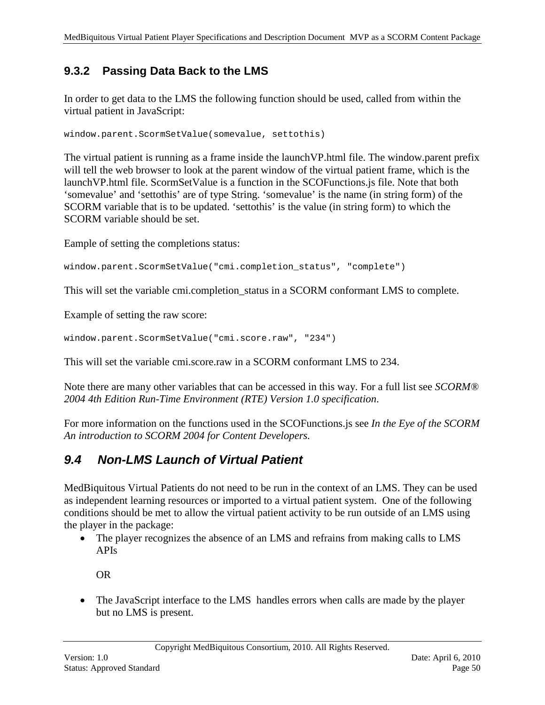### <span id="page-49-0"></span>**9.3.2 Passing Data Back to the LMS**

In order to get data to the LMS the following function should be used, called from within the virtual patient in JavaScript:

window.parent.ScormSetValue(somevalue, settothis)

The virtual patient is running as a frame inside the launchVP.html file. The window.parent prefix will tell the web browser to look at the parent window of the virtual patient frame, which is the launchVP.html file. ScormSetValue is a function in the SCOFunctions.js file. Note that both 'somevalue' and 'settothis' are of type String. 'somevalue' is the name (in string form) of the SCORM variable that is to be updated. 'settothis' is the value (in string form) to which the SCORM variable should be set.

Eample of setting the completions status:

```
window.parent.ScormSetValue("cmi.completion_status", "complete")
```
This will set the variable cmi.completion status in a SCORM conformant LMS to complete.

Example of setting the raw score:

window.parent.ScormSetValue("cmi.score.raw", "234")

This will set the variable cmi.score.raw in a SCORM conformant LMS to 234.

Note there are many other variables that can be accessed in this way. For a full list see *SCORM® 2004 4th Edition Run-Time Environment (RTE) Version 1.0 specification*.

For more information on the functions used in the SCOFunctions.js see *In the Eye of the SCORM An introduction to SCORM 2004 for Content Developers.*

## <span id="page-49-1"></span>*9.4 Non-LMS Launch of Virtual Patient*

MedBiquitous Virtual Patients do not need to be run in the context of an LMS. They can be used as independent learning resources or imported to a virtual patient system. One of the following conditions should be met to allow the virtual patient activity to be run outside of an LMS using the player in the package:

• The player recognizes the absence of an LMS and refrains from making calls to LMS APIs

OR

• The JavaScript interface to the LMS handles errors when calls are made by the player but no LMS is present.

Copyright MedBiquitous Consortium, 2010. All Rights Reserved.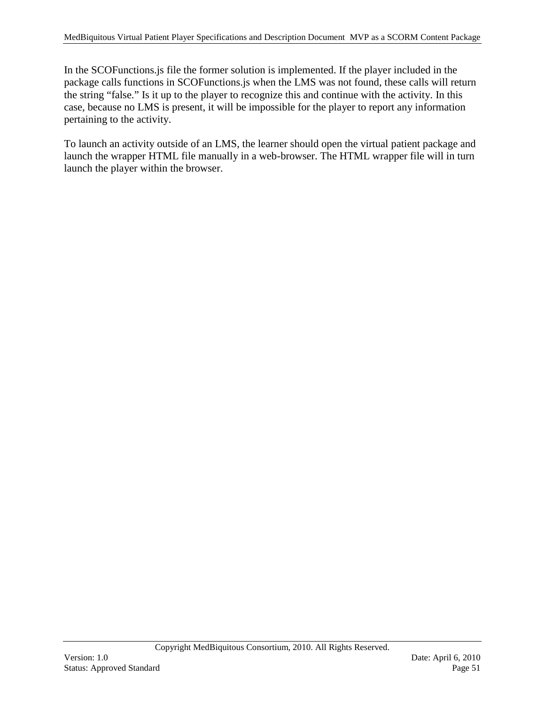In the SCOFunctions.js file the former solution is implemented. If the player included in the package calls functions in SCOFunctions.js when the LMS was not found, these calls will return the string "false." Is it up to the player to recognize this and continue with the activity. In this case, because no LMS is present, it will be impossible for the player to report any information pertaining to the activity.

To launch an activity outside of an LMS, the learner should open the virtual patient package and launch the wrapper HTML file manually in a web-browser. The HTML wrapper file will in turn launch the player within the browser.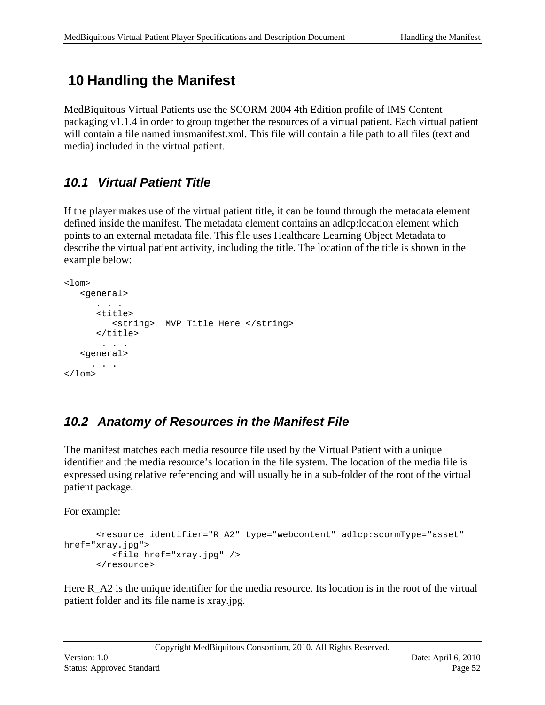# <span id="page-51-0"></span>**10 Handling the Manifest**

MedBiquitous Virtual Patients use the SCORM 2004 4th Edition profile of IMS Content packaging v1.1.4 in order to group together the resources of a virtual patient. Each virtual patient will contain a file named imsmanifest.xml. This file will contain a file path to all files (text and media) included in the virtual patient.

# <span id="page-51-1"></span>*10.1 Virtual Patient Title*

If the player makes use of the virtual patient title, it can be found through the metadata element defined inside the manifest. The metadata element contains an adlcp:location element which points to an external metadata file. This file uses Healthcare Learning Object Metadata to describe the virtual patient activity, including the title. The location of the title is shown in the example below:

```
<1 \capm><general>
       . . .
       <title>
           <string> MVP Title Here </string>
       </title>
       . . .
   <general>
      . . .
\langlelom\rangle
```
# <span id="page-51-2"></span>*10.2 Anatomy of Resources in the Manifest File*

The manifest matches each media resource file used by the Virtual Patient with a unique identifier and the media resource's location in the file system. The location of the media file is expressed using relative referencing and will usually be in a sub-folder of the root of the virtual patient package.

For example:

```
 <resource identifier="R_A2" type="webcontent" adlcp:scormType="asset" 
href="xray.jpg">
          <file href="xray.jpg" />
       </resource>
```
Here R\_A2 is the unique identifier for the media resource. Its location is in the root of the virtual patient folder and its file name is xray.jpg.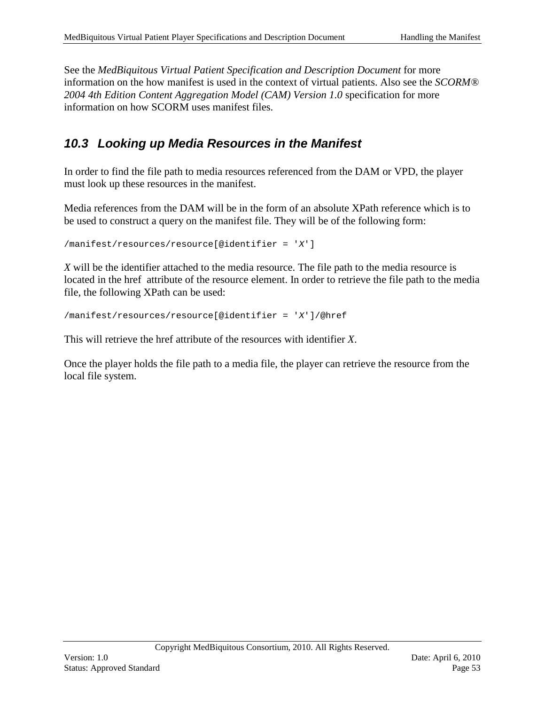See the *MedBiquitous Virtual Patient Specification and Description Document* for more information on the how manifest is used in the context of virtual patients. Also see the *SCORM® 2004 4th Edition Content Aggregation Model (CAM) Version 1.0* specification for more information on how SCORM uses manifest files.

### <span id="page-52-0"></span>*10.3 Looking up Media Resources in the Manifest*

In order to find the file path to media resources referenced from the DAM or VPD, the player must look up these resources in the manifest.

Media references from the DAM will be in the form of an absolute XPath reference which is to be used to construct a query on the manifest file. They will be of the following form:

/manifest/resources/resource[@identifier = '*X*']

*X* will be the identifier attached to the media resource. The file path to the media resource is located in the href attribute of the resource element. In order to retrieve the file path to the media file, the following XPath can be used:

/manifest/resources/resource[@identifier = '*X*']/@href

This will retrieve the href attribute of the resources with identifier *X*.

Once the player holds the file path to a media file, the player can retrieve the resource from the local file system.